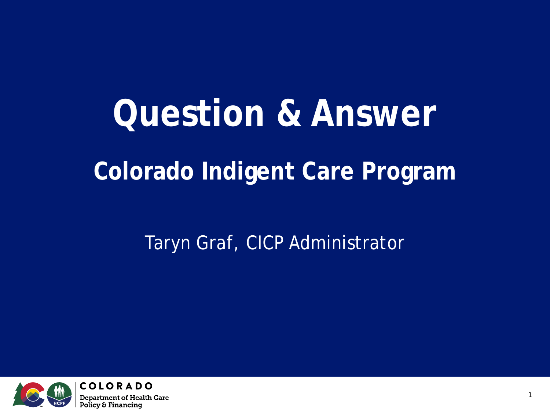# **Question & Answer Colorado Indigent Care Program**

#### Taryn Graf, CICP Administrator

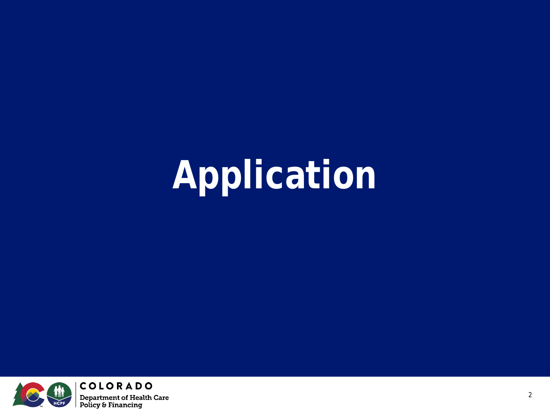# **Application**

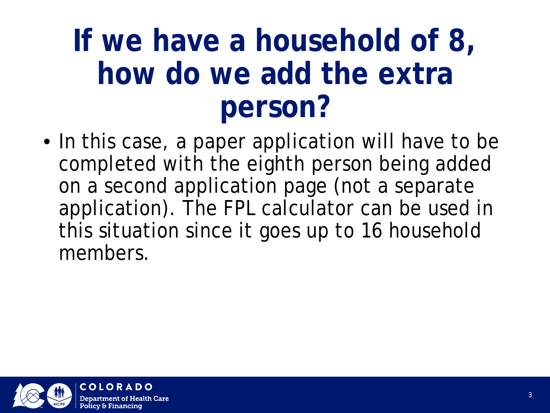## **If we have a household of 8, how do we add the extra person?**

• In this case, a paper application will have to be completed with the eighth person being added on a second application page (not a separate application). The FPL calculator can be used in this situation since it goes up to 16 household members.

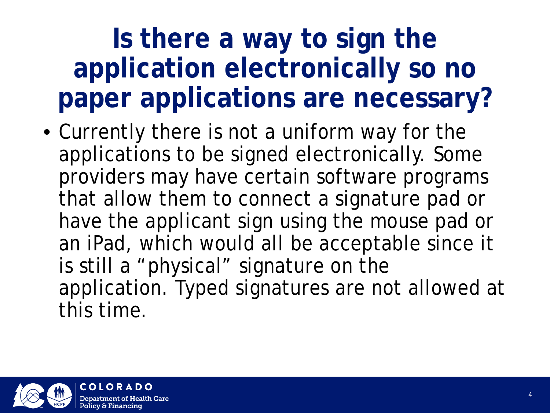### **Is there a way to sign the application electronically so no paper applications are necessary?**

• Currently there is not a uniform way for the applications to be signed electronically. Some providers may have certain software programs that allow them to connect a signature pad or have the applicant sign using the mouse pad or an iPad, which would all be acceptable since it is still a "physical" signature on the application. Typed signatures are not allowed at this time.

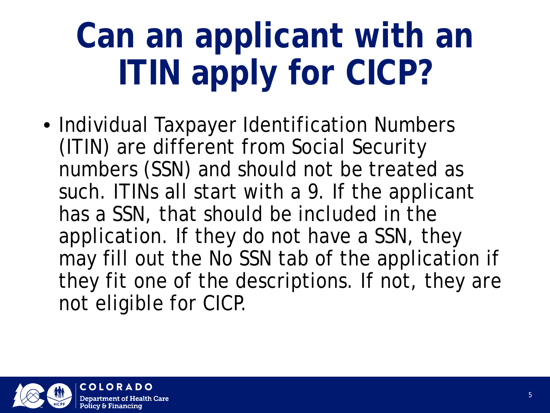# **Can an applicant with an ITIN apply for CICP?**

• Individual Taxpayer Identification Numbers (ITIN) are different from Social Security numbers (SSN) and should not be treated as such. ITINs all start with a 9. If the applicant has a SSN, that should be included in the application. If they do not have a SSN, they may fill out the No SSN tab of the application if they fit one of the descriptions. If not, they are not eligible for CICP.

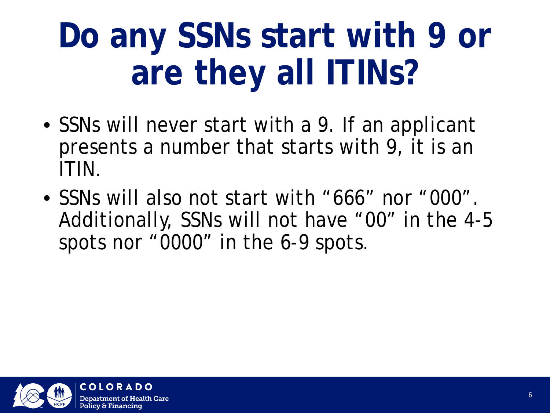# **Do any SSNs start with 9 or are they all ITINs?**

- SSNs will never start with a 9. If an applicant presents a number that starts with 9, it is an ITIN.
- SSNs will also not start with "666" nor "000". Additionally, SSNs will not have "00" in the 4-5 spots nor "0000" in the 6-9 spots.

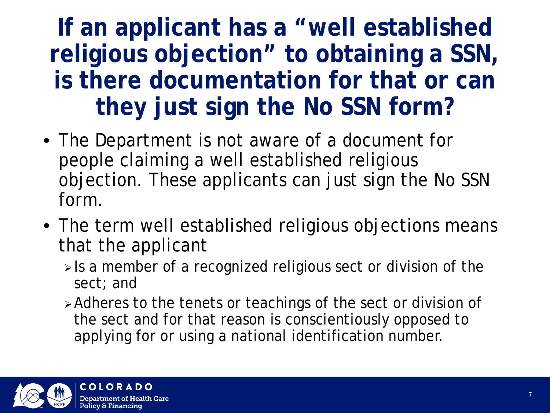#### **If an applicant has a "well established religious objection" to obtaining a SSN, is there documentation for that or can they just sign the No SSN form?**

- The Department is not aware of a document for people claiming a well established religious objection. These applicants can just sign the No SSN form.
- The term well established religious objections means that the applicant
	- $\triangleright$  Is a member of a recognized religious sect or division of the sect; and
	- Adheres to the tenets or teachings of the sect or division of the sect and for that reason is conscientiously opposed to applying for or using a national identification number.

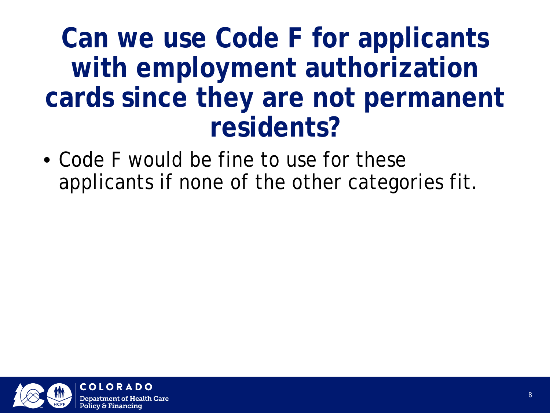#### **Can we use Code F for applicants with employment authorization cards since they are not permanent residents?**

• Code F would be fine to use for these applicants if none of the other categories fit.

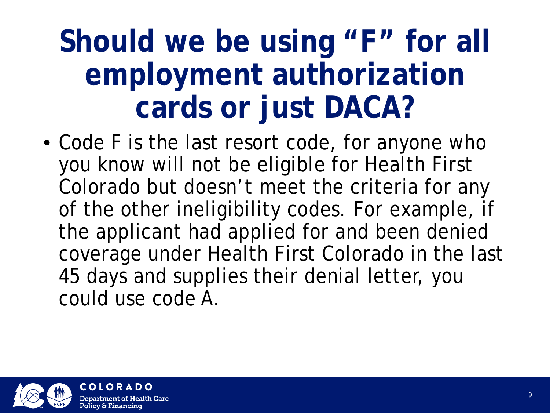## **Should we be using "F" for all employment authorization cards or just DACA?**

• Code F is the last resort code, for anyone who you know will not be eligible for Health First Colorado but doesn't meet the criteria for any of the other ineligibility codes. For example, if the applicant had applied for and been denied coverage under Health First Colorado in the last 45 days and supplies their denial letter, you could use code A.

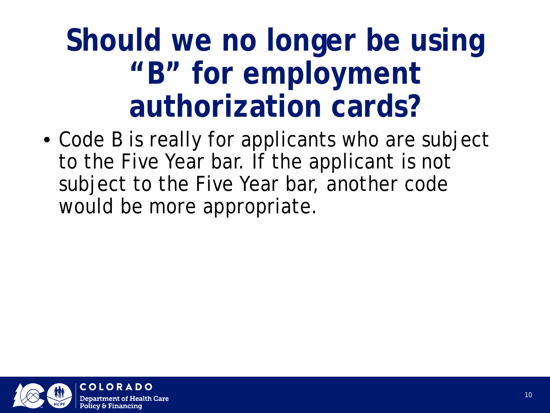## **Should we no longer be using "B" for employment authorization cards?**

• Code B is really for applicants who are subject to the Five Year bar. If the applicant is not subject to the Five Year bar, another code would be more appropriate.

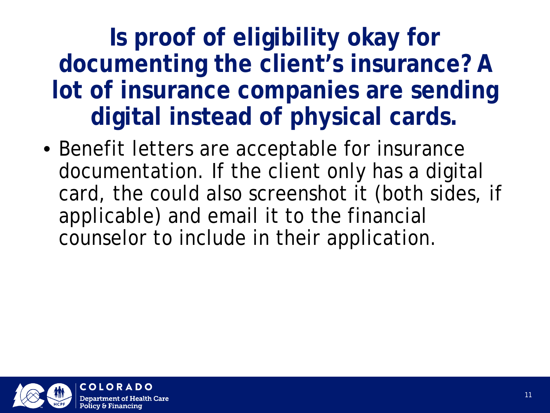#### **Is proof of eligibility okay for documenting the client's insurance? A lot of insurance companies are sending digital instead of physical cards.**

• Benefit letters are acceptable for insurance documentation. If the client only has a digital card, the could also screenshot it (both sides, if applicable) and email it to the financial counselor to include in their application.

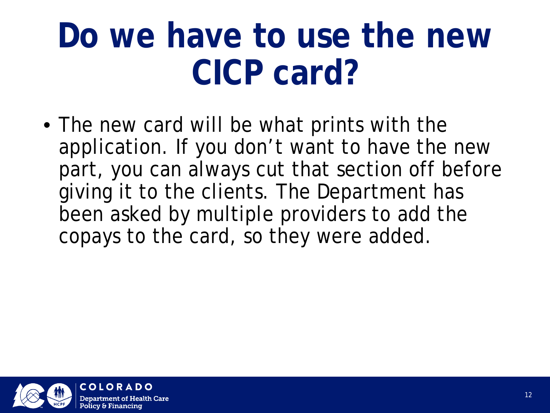## **Do we have to use the new CICP card?**

• The new card will be what prints with the application. If you don't want to have the new part, you can always cut that section off before giving it to the clients. The Department has been asked by multiple providers to add the copays to the card, so they were added.

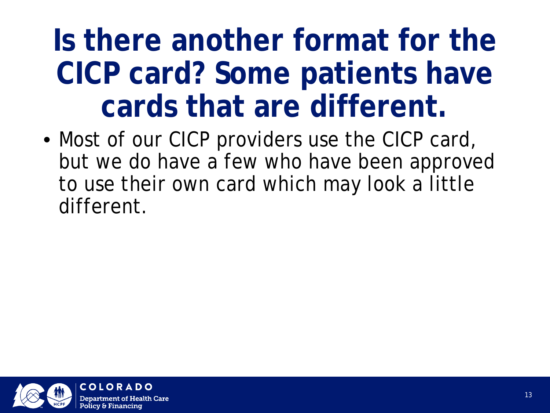## **Is there another format for the CICP card? Some patients have cards that are different.**

• Most of our CICP providers use the CICP card, but we do have a few who have been approved to use their own card which may look a little different.

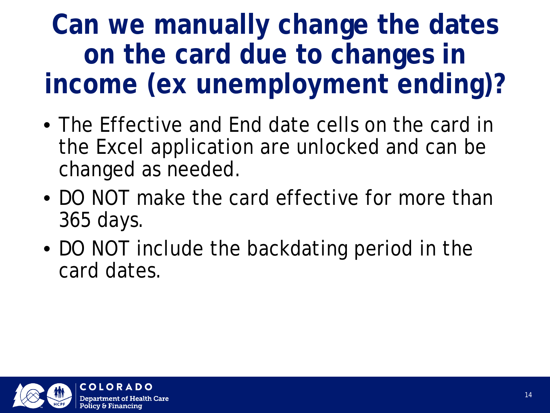#### **Can we manually change the dates on the card due to changes in income (ex unemployment ending)?**

- The Effective and End date cells on the card in the Excel application are unlocked and can be changed as needed.
- DO NOT make the card effective for more than 365 days.
- DO NOT include the backdating period in the card dates.

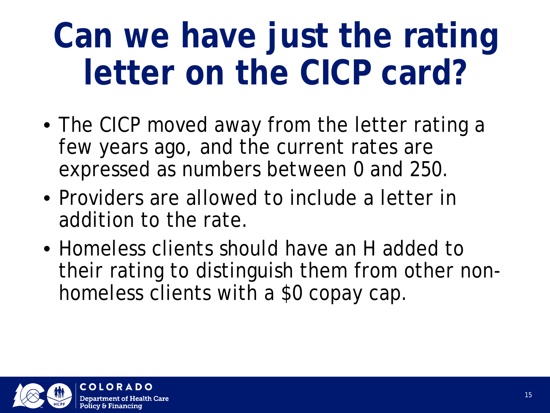## **Can we have just the rating letter on the CICP card?**

- The CICP moved away from the letter rating a few years ago, and the current rates are expressed as numbers between 0 and 250.
- Providers are allowed to include a letter in addition to the rate.
- Homeless clients should have an H added to their rating to distinguish them from other nonhomeless clients with a \$0 copay cap.

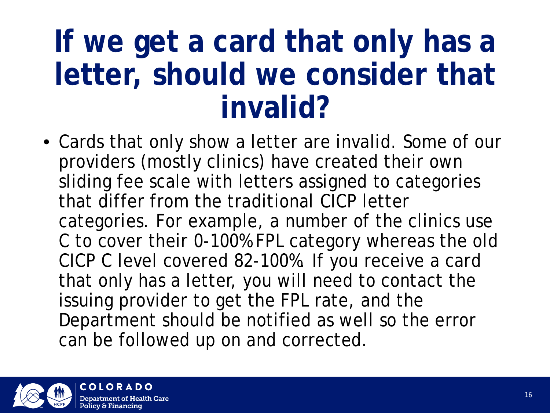## **If we get a card that only has a letter, should we consider that invalid?**

• Cards that only show a letter are invalid. Some of our providers (mostly clinics) have created their own sliding fee scale with letters assigned to categories that differ from the traditional CICP letter categories. For example, a number of the clinics use C to cover their 0-100% FPL category whereas the old CICP C level covered 82-100%. If you receive a card that only has a letter, you will need to contact the issuing provider to get the FPL rate, and the Department should be notified as well so the error can be followed up on and corrected.

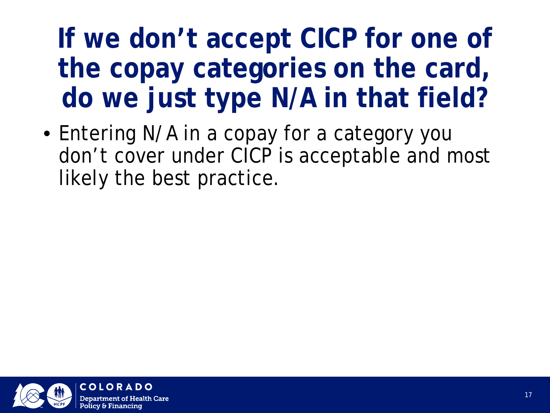### **If we don't accept CICP for one of the copay categories on the card, do we just type N/A in that field?**

• Entering N/A in a copay for a category you don't cover under CICP is acceptable and most likely the best practice.

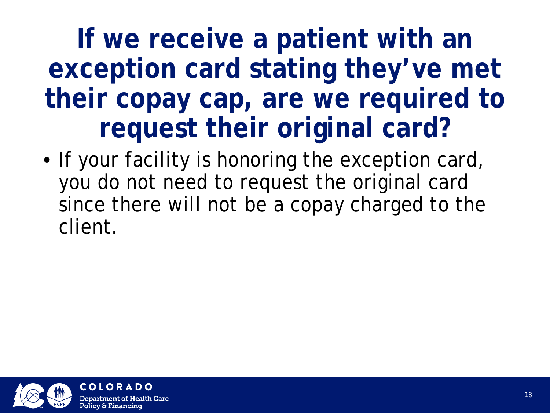#### **If we receive a patient with an exception card stating they've met their copay cap, are we required to request their original card?**

• If your facility is honoring the exception card, you do not need to request the original card since there will not be a copay charged to the client.

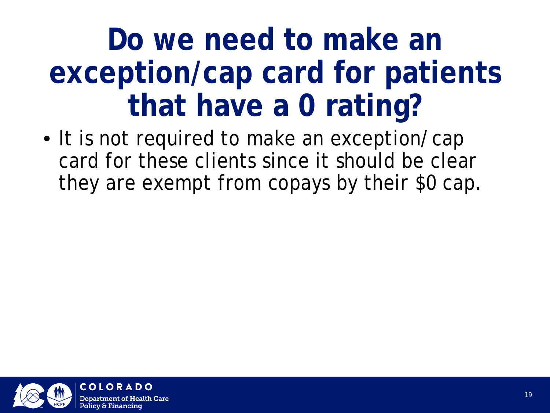## **Do we need to make an exception/cap card for patients that have a 0 rating?**

• It is not required to make an exception/cap card for these clients since it should be clear they are exempt from copays by their \$0 cap.

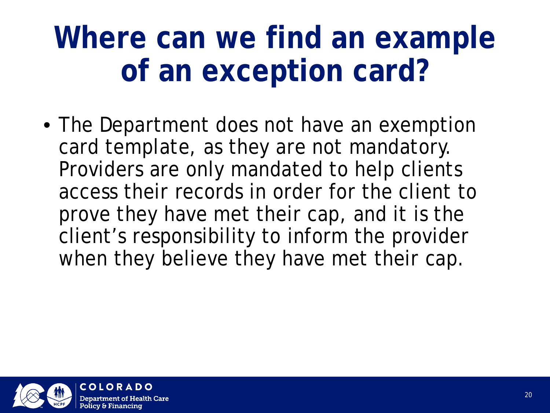## **Where can we find an example of an exception card?**

• The Department does not have an exemption card template, as they are not mandatory. Providers are only mandated to help clients access their records in order for the client to prove they have met their cap, and it is the client's responsibility to inform the provider when they believe they have met their cap.

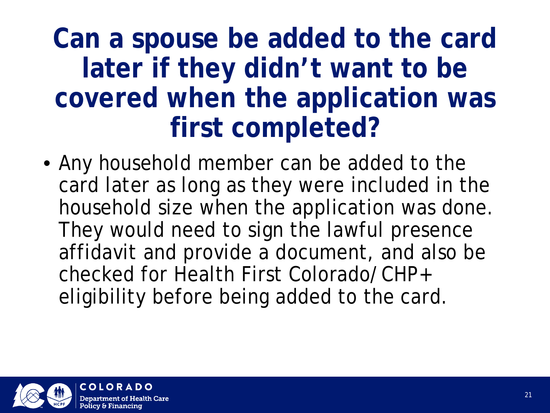#### **Can a spouse be added to the card later if they didn't want to be covered when the application was first completed?**

• Any household member can be added to the card later as long as they were included in the household size when the application was done. They would need to sign the lawful presence affidavit and provide a document, and also be checked for Health First Colorado/CHP+ eligibility before being added to the card.

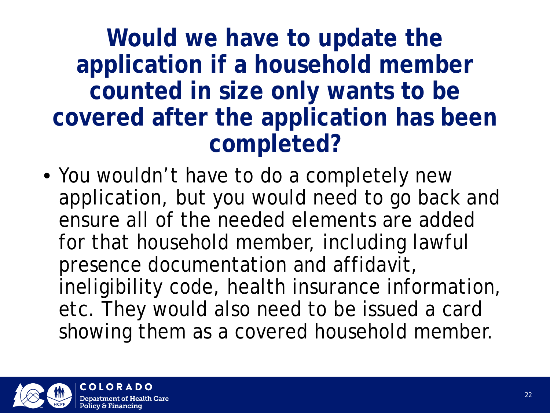**Would we have to update the application if a household member counted in size only wants to be covered after the application has been completed?**

• You wouldn't have to do a completely new application, but you would need to go back and ensure all of the needed elements are added for that household member, including lawful presence documentation and affidavit, ineligibility code, health insurance information, etc. They would also need to be issued a card showing them as a covered household member.

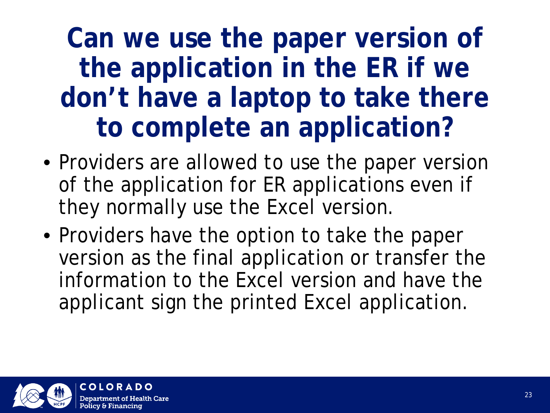#### **Can we use the paper version of the application in the ER if we don't have a laptop to take there to complete an application?**

- Providers are allowed to use the paper version of the application for ER applications even if they normally use the Excel version.
- Providers have the option to take the paper version as the final application or transfer the information to the Excel version and have the applicant sign the printed Excel application.

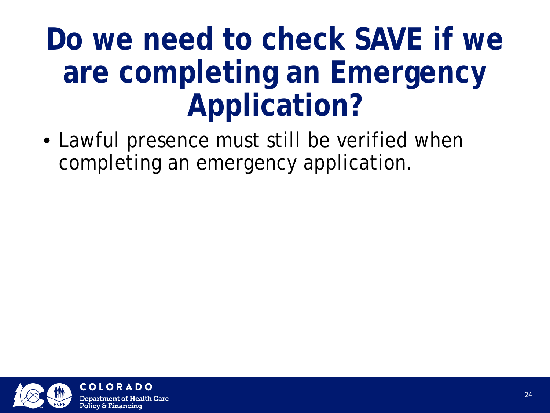## **Do we need to check SAVE if we are completing an Emergency Application?**

• Lawful presence must still be verified when completing an emergency application.

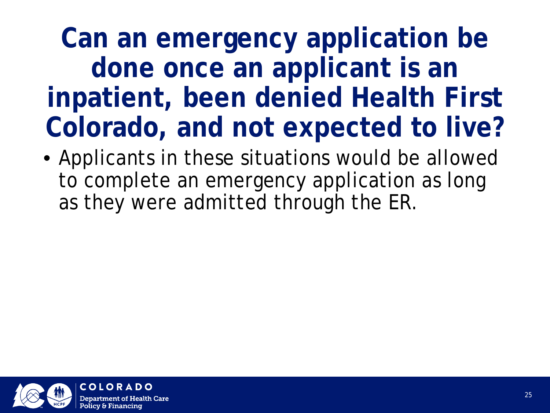#### **Can an emergency application be done once an applicant is an inpatient, been denied Health First Colorado, and not expected to live?**

• Applicants in these situations would be allowed to complete an emergency application as long as they were admitted through the ER.

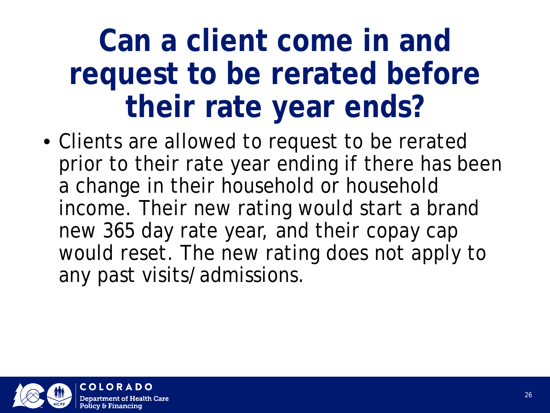## **Can a client come in and request to be rerated before their rate year ends?**

• Clients are allowed to request to be rerated prior to their rate year ending if there has been a change in their household or household income. Their new rating would start a brand new 365 day rate year, and their copay cap would reset. The new rating does not apply to any past visits/admissions.

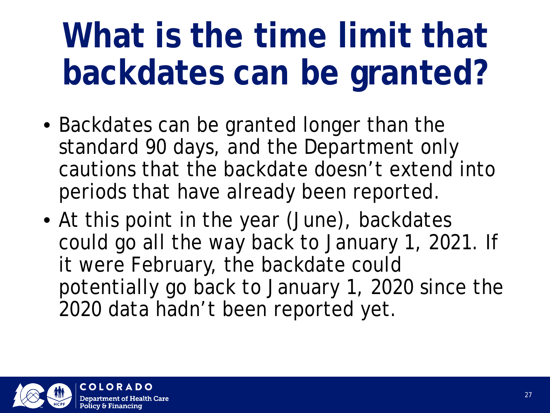# **What is the time limit that backdates can be granted?**

- Backdates can be granted longer than the standard 90 days, and the Department only cautions that the backdate doesn't extend into periods that have already been reported.
- At this point in the year (June), backdates could go all the way back to January 1, 2021. If it were February, the backdate could potentially go back to January 1, 2020 since the 2020 data hadn't been reported yet.

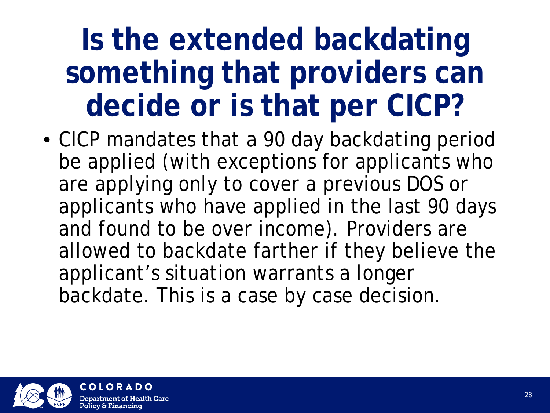### **Is the extended backdating something that providers can decide or is that per CICP?**

• CICP mandates that a 90 day backdating period be applied (with exceptions for applicants who are applying only to cover a previous DOS or applicants who have applied in the last 90 days and found to be over income). Providers are allowed to backdate farther if they believe the applicant's situation warrants a longer backdate. This is a case by case decision.

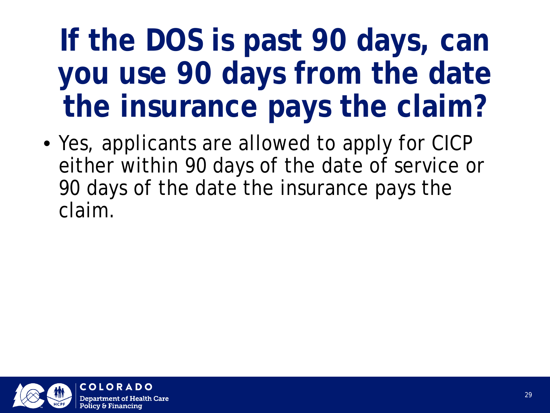## **If the DOS is past 90 days, can you use 90 days from the date the insurance pays the claim?**

• Yes, applicants are allowed to apply for CICP either within 90 days of the date of service or 90 days of the date the insurance pays the claim.

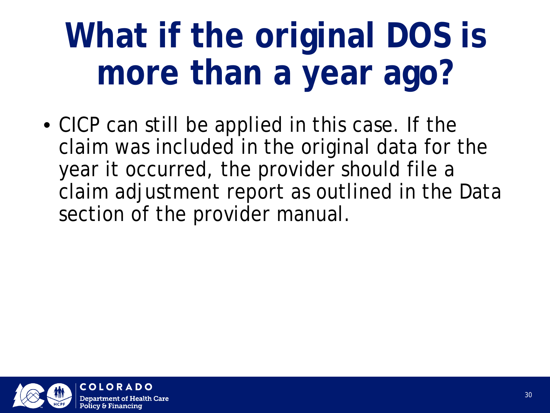# **What if the original DOS is more than a year ago?**

• CICP can still be applied in this case. If the claim was included in the original data for the year it occurred, the provider should file a claim adjustment report as outlined in the Data section of the provider manual.

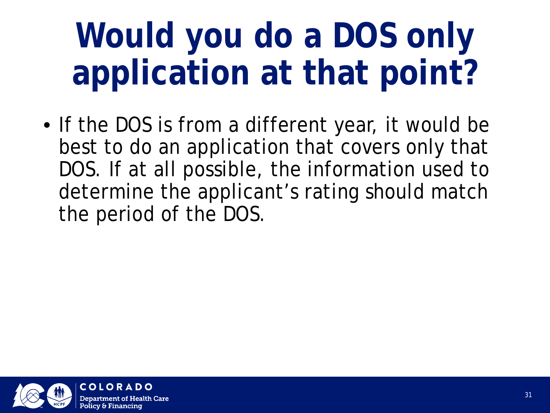# **Would you do a DOS only application at that point?**

• If the DOS is from a different year, it would be best to do an application that covers only that DOS. If at all possible, the information used to determine the applicant's rating should match the period of the DOS.

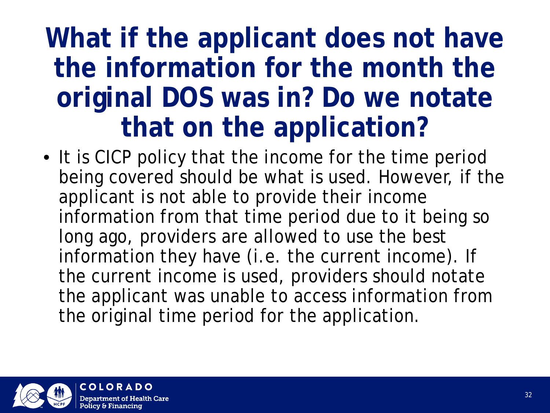#### **What if the applicant does not have the information for the month the original DOS was in? Do we notate that on the application?**

• It is CICP policy that the income for the time period being covered should be what is used. However, if the applicant is not able to provide their income information from that time period due to it being so long ago, providers are allowed to use the best information they have (i.e. the current income). If the current income is used, providers should notate the applicant was unable to access information from the original time period for the application.

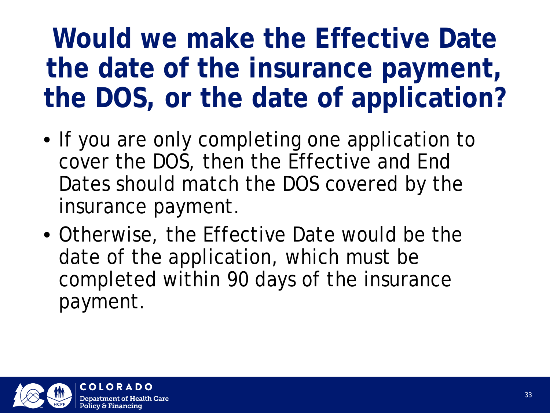### **Would we make the Effective Date the date of the insurance payment, the DOS, or the date of application?**

- If you are only completing one application to cover the DOS, then the Effective and End Dates should match the DOS covered by the insurance payment.
- Otherwise, the Effective Date would be the date of the application, which must be completed within 90 days of the insurance payment.

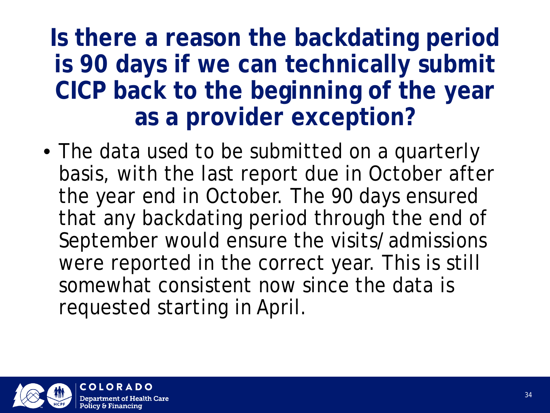#### **Is there a reason the backdating period is 90 days if we can technically submit CICP back to the beginning of the year as a provider exception?**

• The data used to be submitted on a quarterly basis, with the last report due in October after the year end in October. The 90 days ensured that any backdating period through the end of September would ensure the visits/admissions were reported in the correct year. This is still somewhat consistent now since the data is requested starting in April.

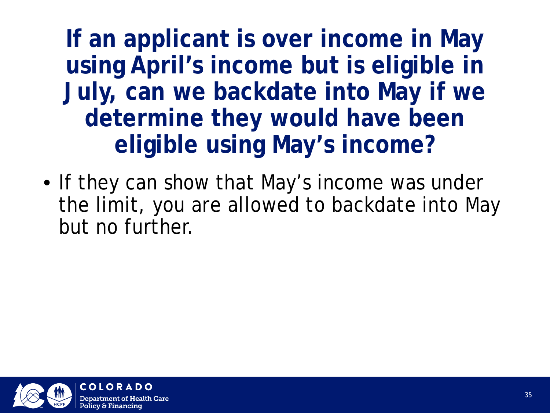#### **If an applicant is over income in May using April's income but is eligible in July, can we backdate into May if we determine they would have been eligible using May's income?**

• If they can show that May's income was under the limit, you are allowed to backdate into May but no further.

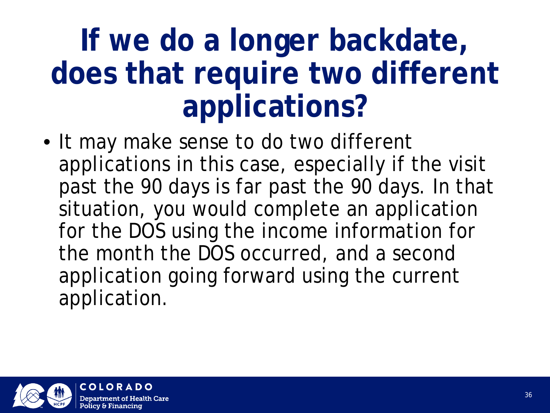## **If we do a longer backdate, does that require two different applications?**

• It may make sense to do two different applications in this case, especially if the visit past the 90 days is far past the 90 days. In that situation, you would complete an application for the DOS using the income information for the month the DOS occurred, and a second application going forward using the current application.

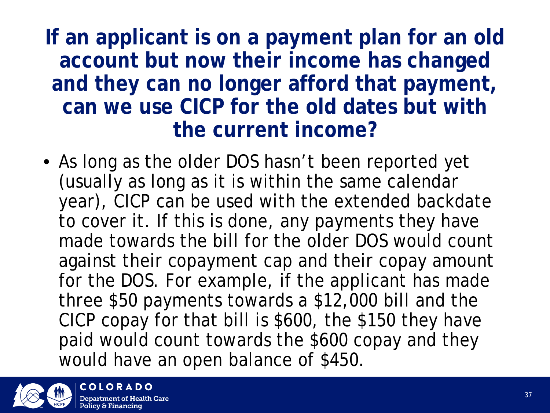#### **If an applicant is on a payment plan for an old account but now their income has changed and they can no longer afford that payment, can we use CICP for the old dates but with the current income?**

• As long as the older DOS hasn't been reported yet (usually as long as it is within the same calendar year), CICP can be used with the extended backdate to cover it. If this is done, any payments they have made towards the bill for the older DOS would count against their copayment cap and their copay amount for the DOS. For example, if the applicant has made three \$50 payments towards a \$12,000 bill and the CICP copay for that bill is \$600, the \$150 they have paid would count towards the \$600 copay and they would have an open balance of \$450.

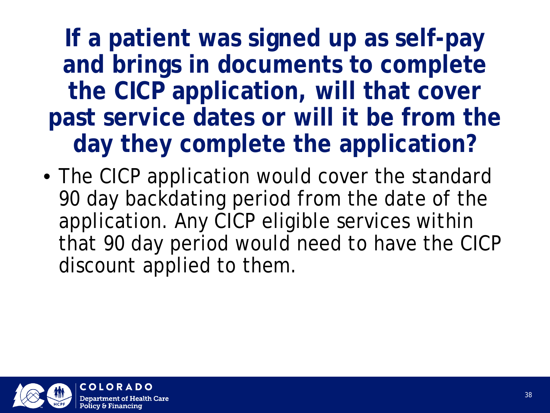**If a patient was signed up as self-pay and brings in documents to complete the CICP application, will that cover past service dates or will it be from the day they complete the application?**

• The CICP application would cover the standard 90 day backdating period from the date of the application. Any CICP eligible services within that 90 day period would need to have the CICP discount applied to them.

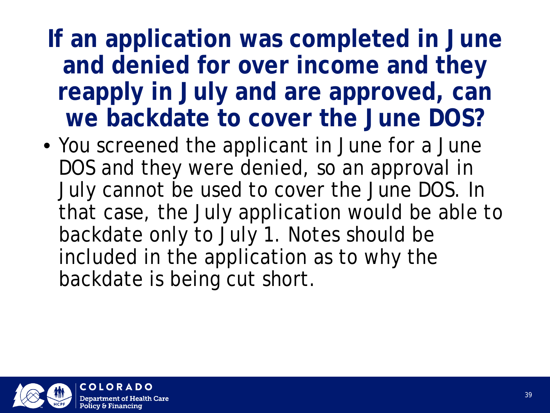#### **If an application was completed in June and denied for over income and they reapply in July and are approved, can we backdate to cover the June DOS?**

• You screened the applicant in June for a June DOS and they were denied, so an approval in July cannot be used to cover the June DOS. In that case, the July application would be able to backdate only to July 1. Notes should be included in the application as to why the backdate is being cut short.

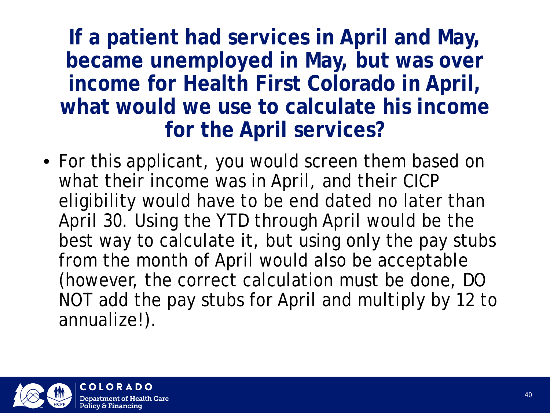**If a patient had services in April and May, became unemployed in May, but was over income for Health First Colorado in April, what would we use to calculate his income for the April services?**

• For this applicant, you would screen them based on what their income was in April, and their CICP eligibility would have to be end dated no later than April 30. Using the YTD through April would be the best way to calculate it, but using only the pay stubs from the month of April would also be acceptable (however, the correct calculation must be done, DO NOT add the pay stubs for April and multiply by 12 to annualize!).

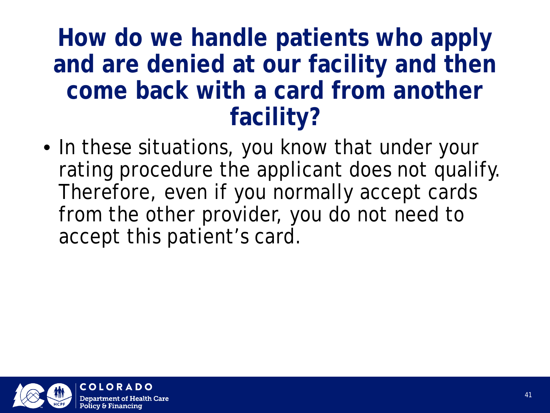#### **How do we handle patients who apply and are denied at our facility and then come back with a card from another facility?**

• In these situations, you know that under your rating procedure the applicant does not qualify. Therefore, even if you normally accept cards from the other provider, you do not need to accept this patient's card.

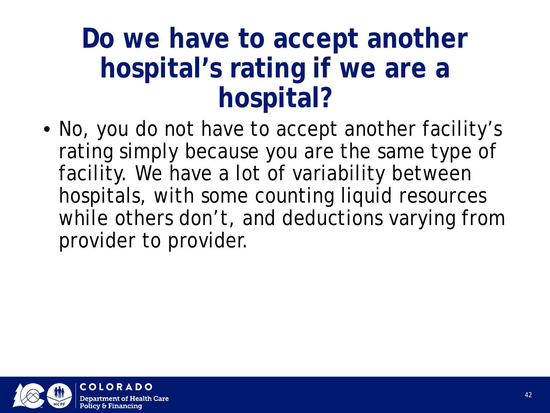#### **Do we have to accept another hospital's rating if we are a hospital?**

• No, you do not have to accept another facility's rating simply because you are the same type of facility. We have a lot of variability between hospitals, with some counting liquid resources while others don't, and deductions varying from provider to provider.

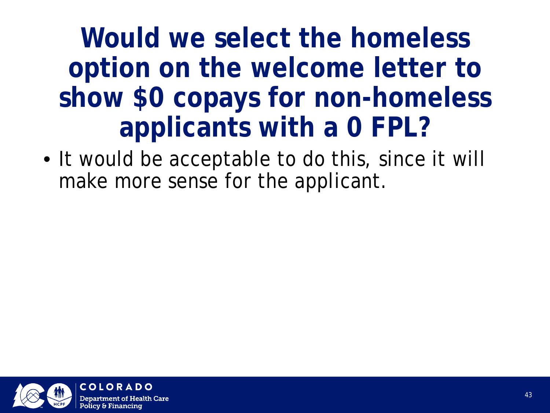#### **Would we select the homeless option on the welcome letter to show \$0 copays for non-homeless applicants with a 0 FPL?**

• It would be acceptable to do this, since it will make more sense for the applicant.

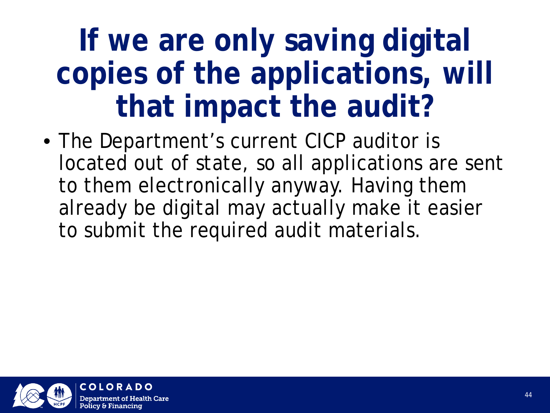### **If we are only saving digital copies of the applications, will that impact the audit?**

• The Department's current CICP auditor is located out of state, so all applications are sent to them electronically anyway. Having them already be digital may actually make it easier to submit the required audit materials.

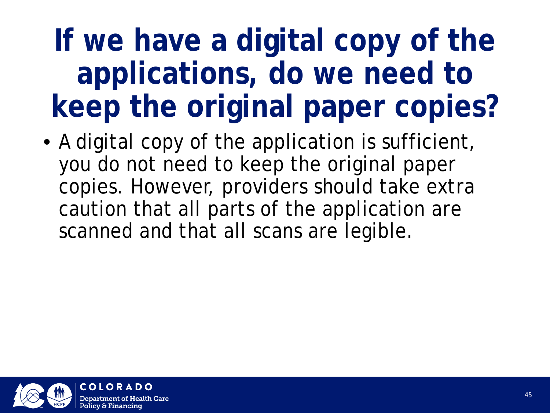### **If we have a digital copy of the applications, do we need to keep the original paper copies?**

• A digital copy of the application is sufficient, you do not need to keep the original paper copies. However, providers should take extra caution that all parts of the application are scanned and that all scans are legible.

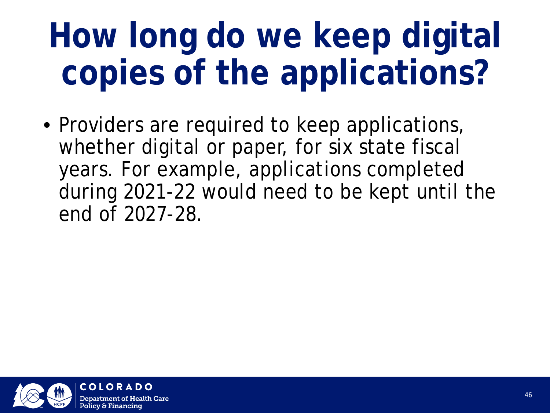# **How long do we keep digital copies of the applications?**

• Providers are required to keep applications, whether digital or paper, for six state fiscal years. For example, applications completed during 2021-22 would need to be kept until the end of 2027-28.

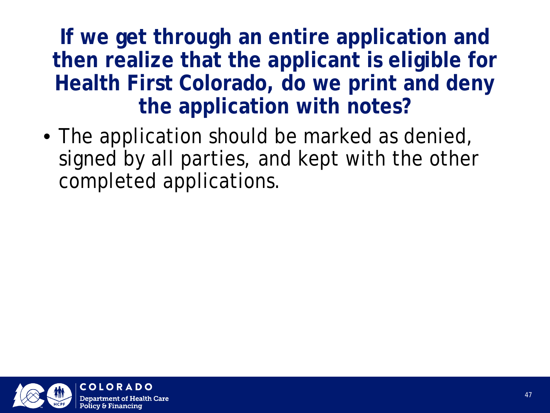**If we get through an entire application and then realize that the applicant is eligible for Health First Colorado, do we print and deny the application with notes?**

• The application should be marked as denied, signed by all parties, and kept with the other completed applications.

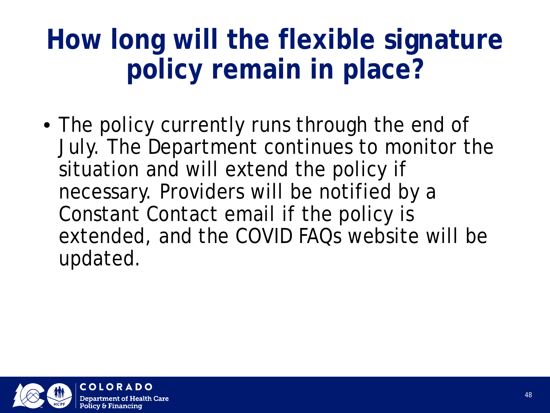### **How long will the flexible signature policy remain in place?**

• The policy currently runs through the end of July. The Department continues to monitor the situation and will extend the policy if necessary. Providers will be notified by a Constant Contact email if the policy is extended, and the COVID FAQs website will be updated.

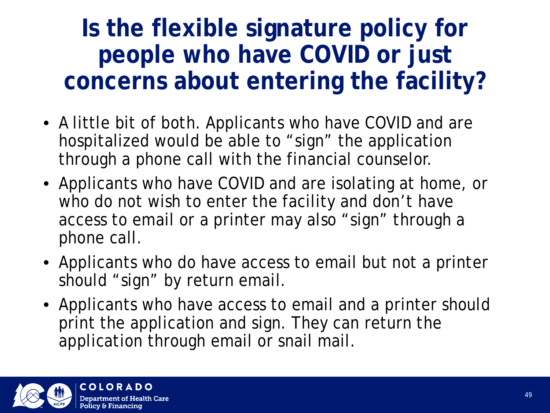**Is the flexible signature policy for people who have COVID or just concerns about entering the facility?**

- A little bit of both. Applicants who have COVID and are hospitalized would be able to "sign" the application through a phone call with the financial counselor.
- Applicants who have COVID and are isolating at home, or who do not wish to enter the facility and don't have access to email or a printer may also "sign" through a phone call.
- Applicants who do have access to email but not a printer should "sign" by return email.
- Applicants who have access to email and a printer should print the application and sign. They can return the application through email or snail mail.

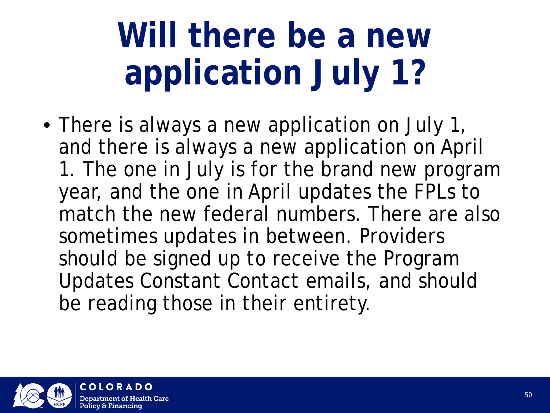# **Will there be a new application July 1?**

• There is always a new application on July 1, and there is always a new application on April 1. The one in July is for the brand new program year, and the one in April updates the FPLs to match the new federal numbers. There are also sometimes updates in between. Providers should be signed up to receive the Program Updates Constant Contact emails, and should be reading those in their entirety.

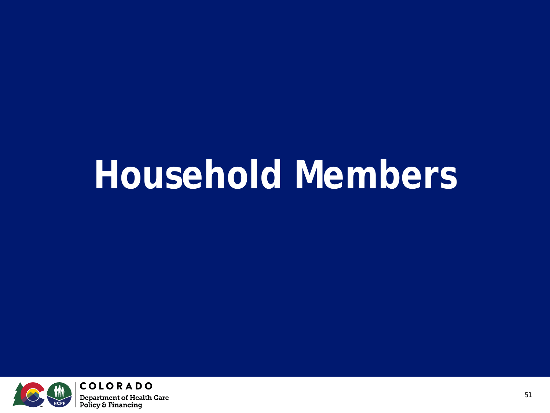## **Household Members**

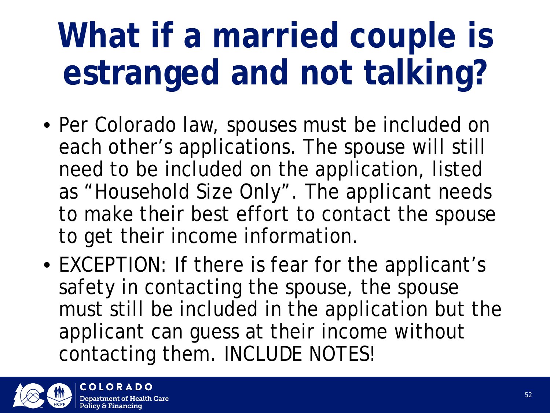# **What if a married couple is estranged and not talking?**

- Per Colorado law, spouses must be included on each other's applications. The spouse will still need to be included on the application, listed as "Household Size Only". The applicant needs to make their best effort to contact the spouse to get their income information.
- EXCEPTION: If there is fear for the applicant's safety in contacting the spouse, the spouse must still be included in the application but the applicant can guess at their income without contacting them. INCLUDE NOTES!

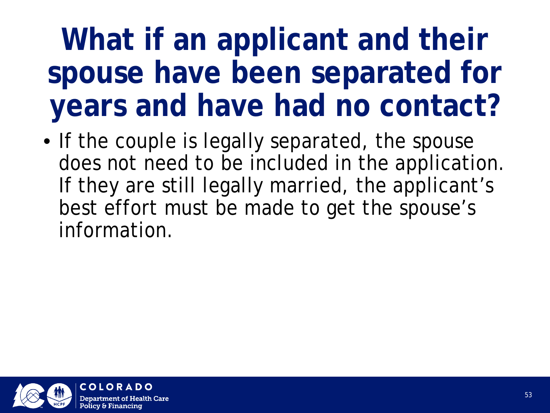### **What if an applicant and their spouse have been separated for years and have had no contact?**

• If the couple is legally separated, the spouse does not need to be included in the application. If they are still legally married, the applicant's best effort must be made to get the spouse's information.

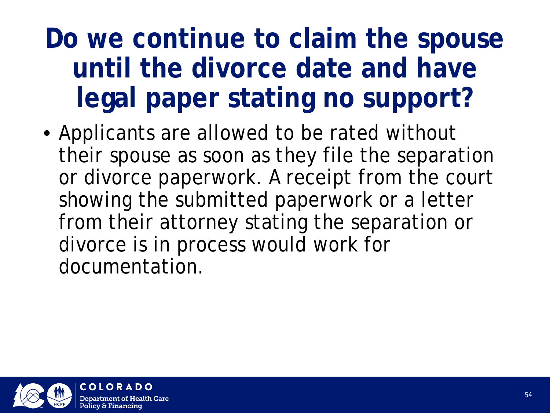### **Do we continue to claim the spouse until the divorce date and have legal paper stating no support?**

• Applicants are allowed to be rated without their spouse as soon as they file the separation or divorce paperwork. A receipt from the court showing the submitted paperwork or a letter from their attorney stating the separation or divorce is in process would work for documentation.

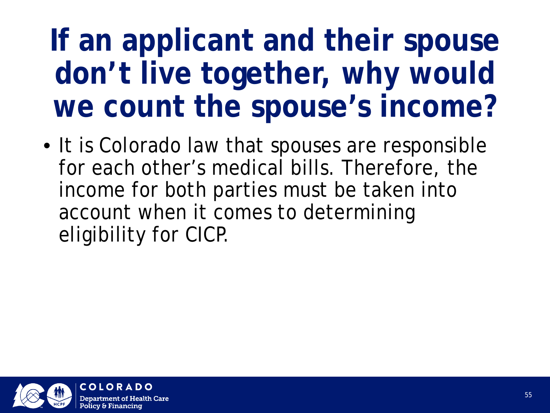### **If an applicant and their spouse don't live together, why would we count the spouse's income?**

• It is Colorado law that spouses are responsible for each other's medical bills. Therefore, the income for both parties must be taken into account when it comes to determining eligibility for CICP.

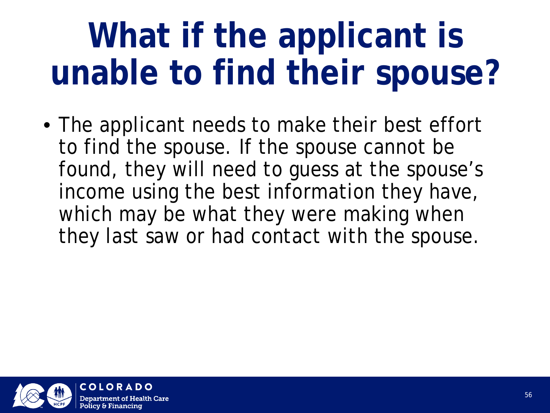# **What if the applicant is unable to find their spouse?**

• The applicant needs to make their best effort to find the spouse. If the spouse cannot be found, they will need to guess at the spouse's income using the best information they have, which may be what they were making when they last saw or had contact with the spouse.

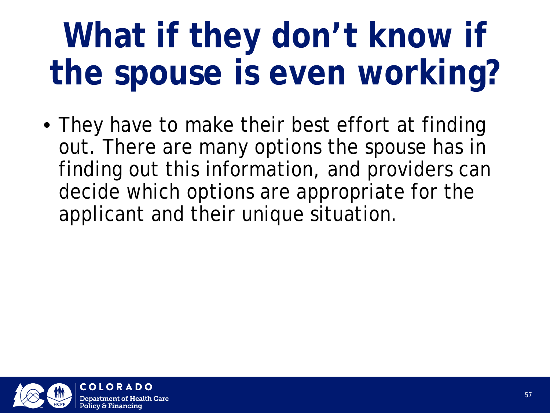# **What if they don't know if the spouse is even working?**

• They have to make their best effort at finding out. There are many options the spouse has in finding out this information, and providers can decide which options are appropriate for the applicant and their unique situation.

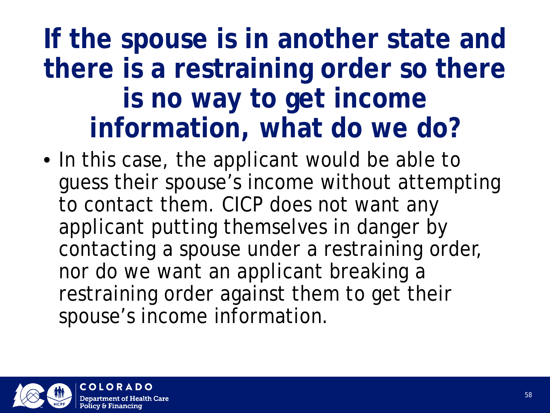#### **If the spouse is in another state and there is a restraining order so there is no way to get income information, what do we do?**

• In this case, the applicant would be able to guess their spouse's income without attempting to contact them. CICP does not want any applicant putting themselves in danger by contacting a spouse under a restraining order, nor do we want an applicant breaking a restraining order against them to get their spouse's income information.

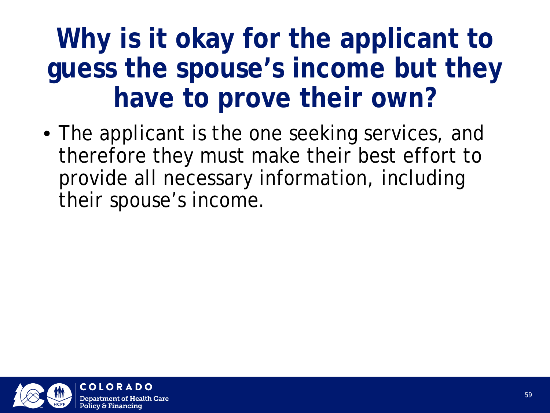### **Why is it okay for the applicant to guess the spouse's income but they have to prove their own?**

• The applicant is the one seeking services, and therefore they must make their best effort to provide all necessary information, including their spouse's income.

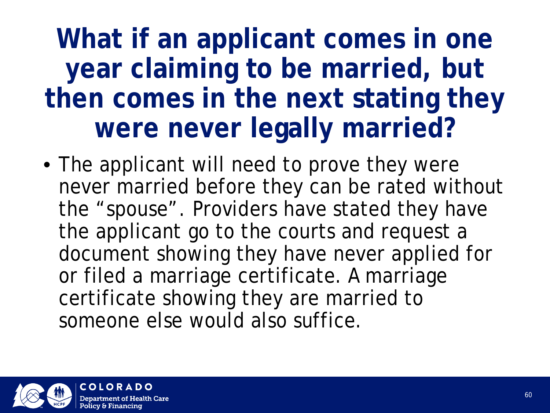### **What if an applicant comes in one year claiming to be married, but then comes in the next stating they were never legally married?**

• The applicant will need to prove they were never married before they can be rated without the "spouse". Providers have stated they have the applicant go to the courts and request a document showing they have never applied for or filed a marriage certificate. A marriage certificate showing they are married to someone else would also suffice.

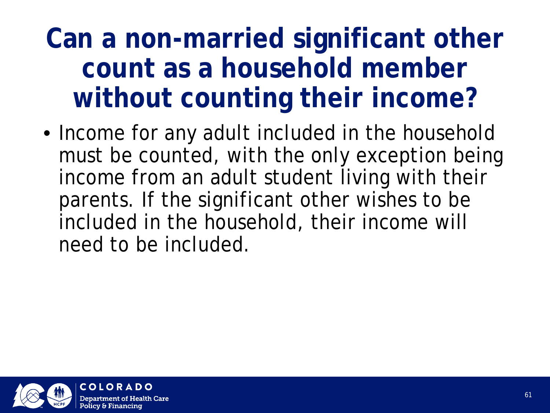### **Can a non-married significant other count as a household member without counting their income?**

• Income for any adult included in the household must be counted, with the only exception being income from an adult student living with their parents. If the significant other wishes to be included in the household, their income will need to be included.

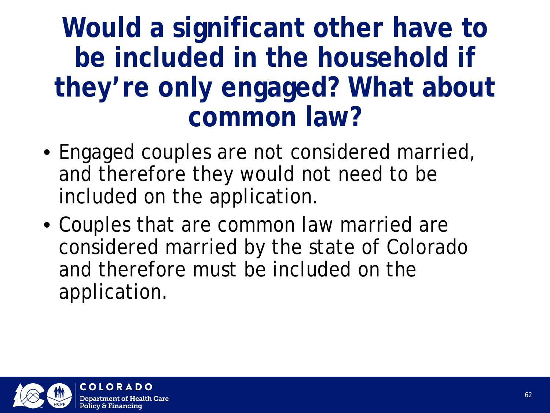#### **Would a significant other have to be included in the household if they're only engaged? What about common law?**

- Engaged couples are not considered married, and therefore they would not need to be included on the application.
- Couples that are common law married are considered married by the state of Colorado and therefore must be included on the application.

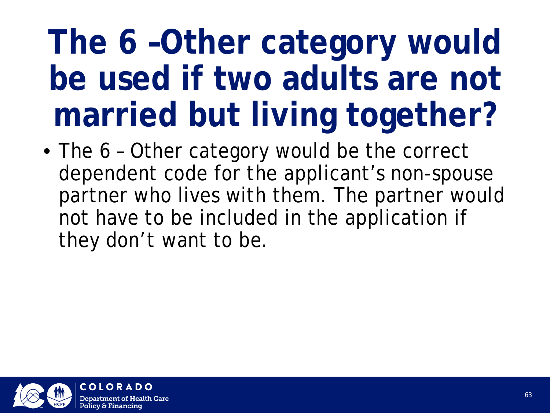## **The 6 –Other category would be used if two adults are not married but living together?**

• The 6 - Other category would be the correct dependent code for the applicant's non-spouse partner who lives with them. The partner would not have to be included in the application if they don't want to be.

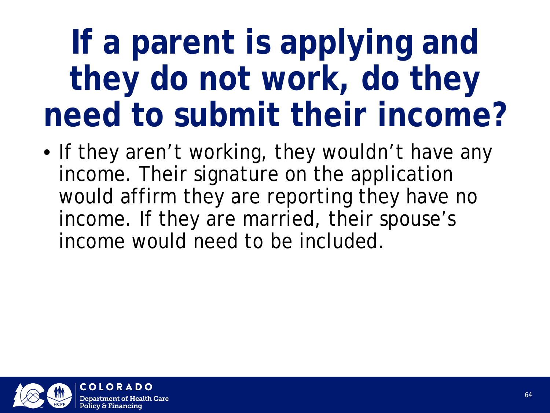## **If a parent is applying and they do not work, do they need to submit their income?**

• If they aren't working, they wouldn't have any income. Their signature on the application would affirm they are reporting they have no income. If they are married, their spouse's income would need to be included.

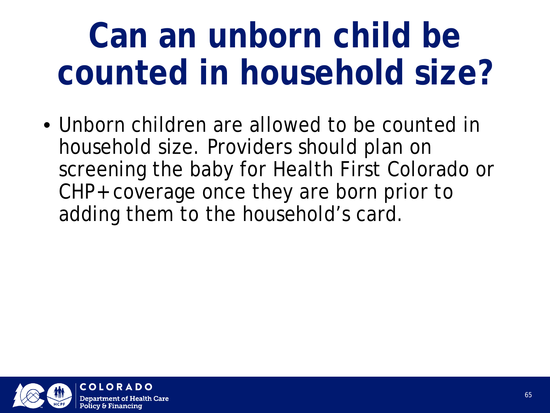# **Can an unborn child be counted in household size?**

• Unborn children are allowed to be counted in household size. Providers should plan on screening the baby for Health First Colorado or CHP+ coverage once they are born prior to adding them to the household's card.

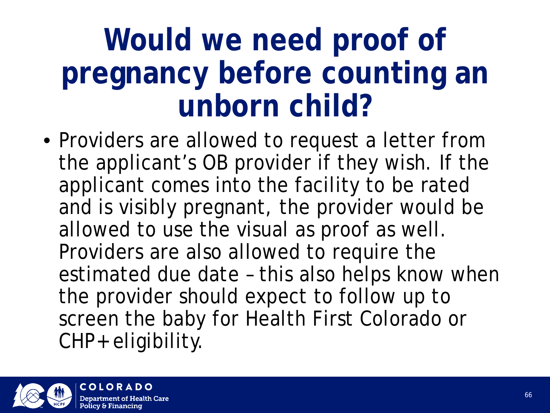### **Would we need proof of pregnancy before counting an unborn child?**

• Providers are allowed to request a letter from the applicant's OB provider if they wish. If the applicant comes into the facility to be rated and is visibly pregnant, the provider would be allowed to use the visual as proof as well. Providers are also allowed to require the estimated due date – this also helps know when the provider should expect to follow up to screen the baby for Health First Colorado or CHP+ eligibility.

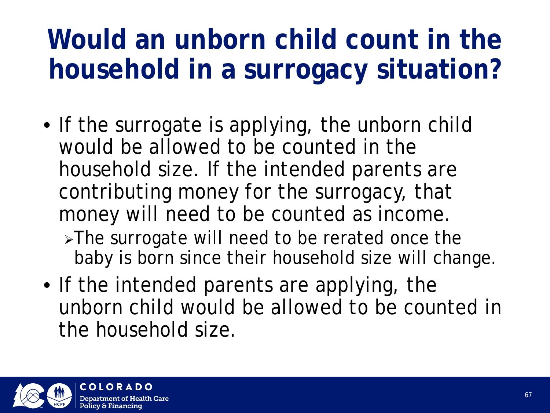### **Would an unborn child count in the household in a surrogacy situation?**

- If the surrogate is applying, the unborn child would be allowed to be counted in the household size. If the intended parents are contributing money for the surrogacy, that money will need to be counted as income.
	- > The surrogate will need to be rerated once the baby is born since their household size will change.
- If the intended parents are applying, the unborn child would be allowed to be counted in the household size.

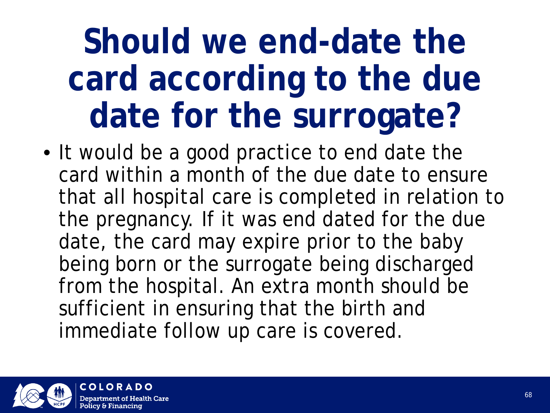## **Should we end-date the card according to the due date for the surrogate?**

• It would be a good practice to end date the card within a month of the due date to ensure that all hospital care is completed in relation to the pregnancy. If it was end dated for the due date, the card may expire prior to the baby being born or the surrogate being discharged from the hospital. An extra month should be sufficient in ensuring that the birth and immediate follow up care is covered.

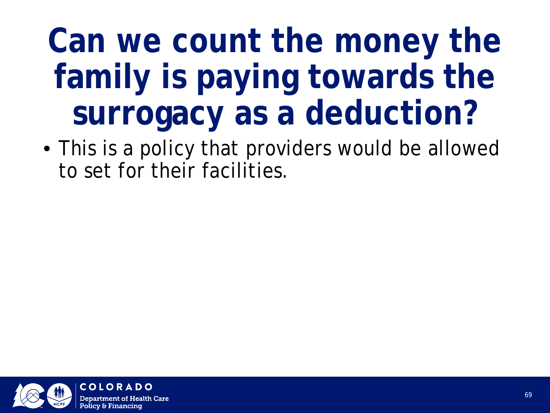## **Can we count the money the family is paying towards the surrogacy as a deduction?**

• This is a policy that providers would be allowed to set for their facilities.

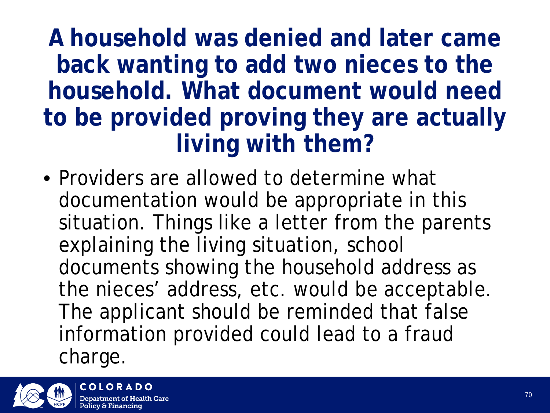**A household was denied and later came back wanting to add two nieces to the household. What document would need to be provided proving they are actually living with them?**

• Providers are allowed to determine what documentation would be appropriate in this situation. Things like a letter from the parents explaining the living situation, school documents showing the household address as the nieces' address, etc. would be acceptable. The applicant should be reminded that false information provided could lead to a fraud charge.

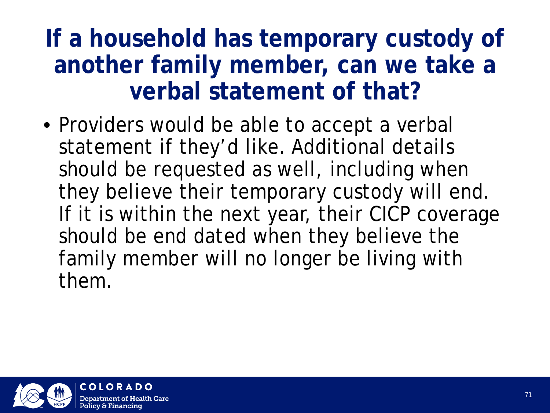#### **If a household has temporary custody of another family member, can we take a verbal statement of that?**

• Providers would be able to accept a verbal statement if they'd like. Additional details should be requested as well, including when they believe their temporary custody will end. If it is within the next year, their CICP coverage should be end dated when they believe the family member will no longer be living with them.

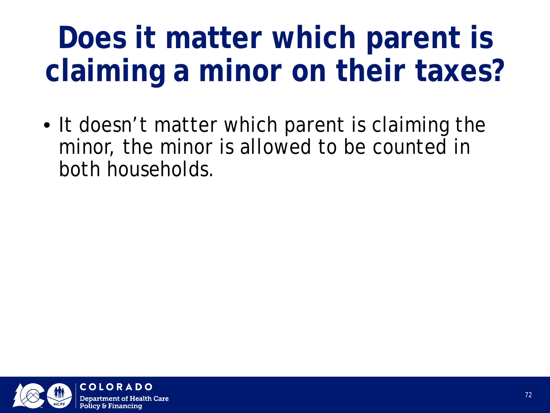### **Does it matter which parent is claiming a minor on their taxes?**

• It doesn't matter which parent is claiming the minor, the minor is allowed to be counted in both households.

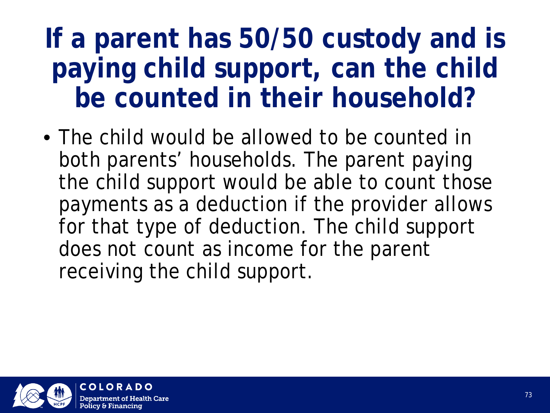### **If a parent has 50/50 custody and is paying child support, can the child be counted in their household?**

• The child would be allowed to be counted in both parents' households. The parent paying the child support would be able to count those payments as a deduction if the provider allows for that type of deduction. The child support does not count as income for the parent receiving the child support.

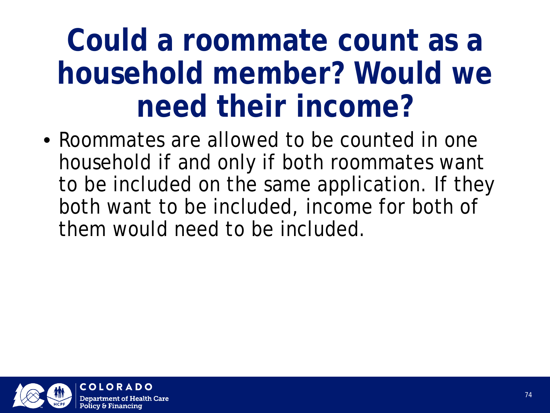### **Could a roommate count as a household member? Would we need their income?**

• Roommates are allowed to be counted in one household if and only if both roommates want to be included on the same application. If they both want to be included, income for both of them would need to be included.

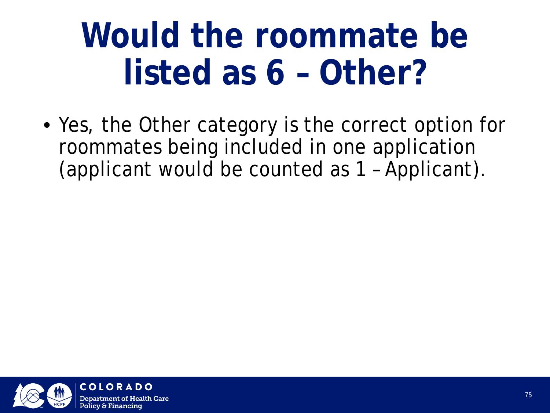## **Would the roommate be listed as 6 – Other?**

• Yes, the Other category is the correct option for roommates being included in one application (applicant would be counted as 1 – Applicant).

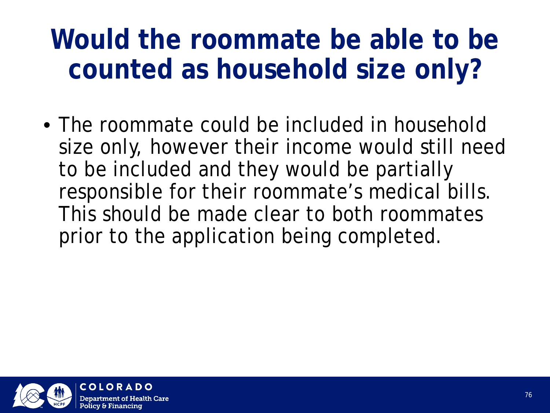### **Would the roommate be able to be counted as household size only?**

• The roommate could be included in household size only, however their income would still need to be included and they would be partially responsible for their roommate's medical bills. This should be made clear to both roommates prior to the application being completed.

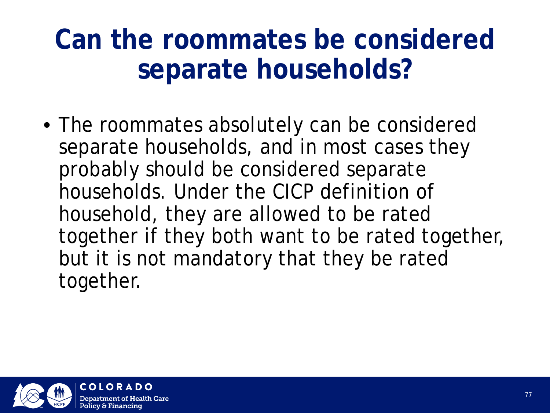### **Can the roommates be considered separate households?**

• The roommates absolutely can be considered separate households, and in most cases they probably should be considered separate households. Under the CICP definition of household, they are allowed to be rated together if they both want to be rated together, but it is not mandatory that they be rated together.

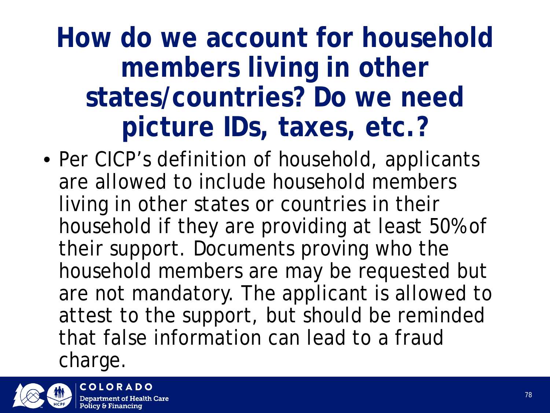#### **How do we account for household members living in other states/countries? Do we need picture IDs, taxes, etc.?**

• Per CICP's definition of household, applicants are allowed to include household members living in other states or countries in their household if they are providing at least 50% of their support. Documents proving who the household members are may be requested but are not mandatory. The applicant is allowed to attest to the support, but should be reminded that false information can lead to a fraud charge.

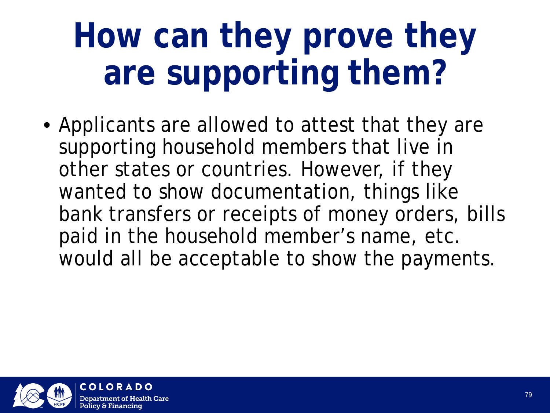# **How can they prove they are supporting them?**

• Applicants are allowed to attest that they are supporting household members that live in other states or countries. However, if they wanted to show documentation, things like bank transfers or receipts of money orders, bills paid in the household member's name, etc. would all be acceptable to show the payments.

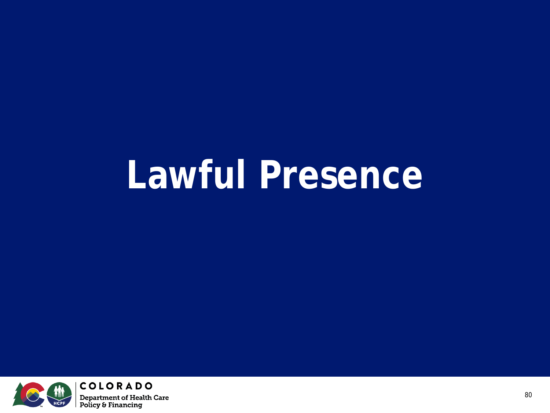## **Lawful Presence**

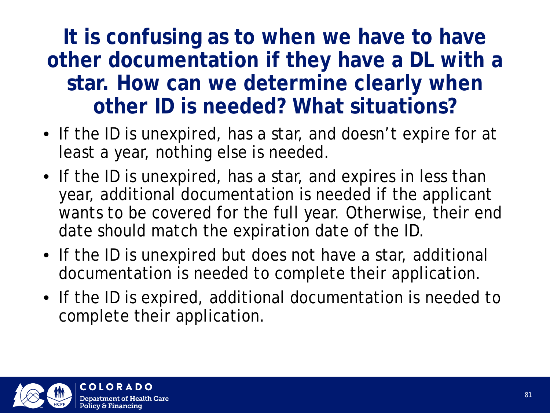#### **It is confusing as to when we have to have other documentation if they have a DL with a star. How can we determine clearly when other ID is needed? What situations?**

- If the ID is unexpired, has a star, and doesn't expire for at least a year, nothing else is needed.
- If the ID is unexpired, has a star, and expires in less than year, additional documentation is needed if the applicant wants to be covered for the full year. Otherwise, their end date should match the expiration date of the ID.
- If the ID is unexpired but does not have a star, additional documentation is needed to complete their application.
- If the ID is expired, additional documentation is needed to complete their application.

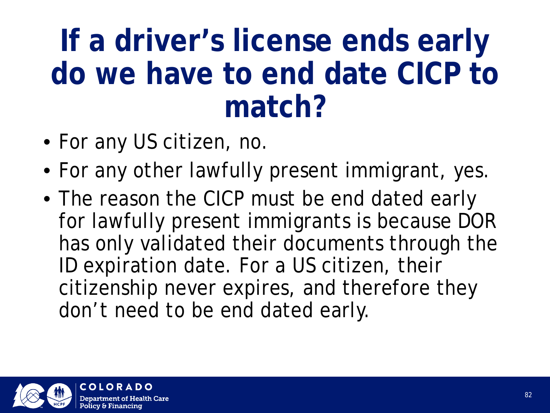## **If a driver's license ends early do we have to end date CICP to match?**

- For any US citizen, no.
- For any other lawfully present immigrant, yes.
- The reason the CICP must be end dated early for lawfully present immigrants is because DOR has only validated their documents through the ID expiration date. For a US citizen, their citizenship never expires, and therefore they don't need to be end dated early.

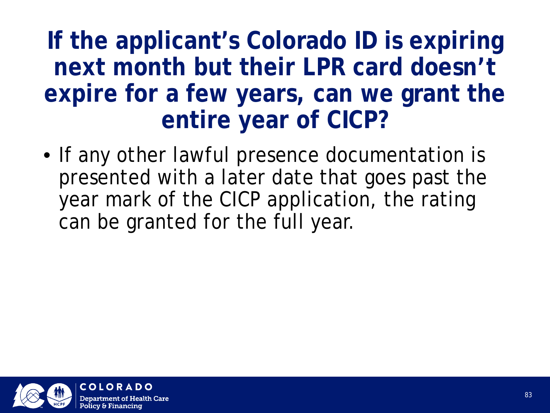#### **If the applicant's Colorado ID is expiring next month but their LPR card doesn't expire for a few years, can we grant the entire year of CICP?**

• If any other lawful presence documentation is presented with a later date that goes past the year mark of the CICP application, the rating can be granted for the full year.

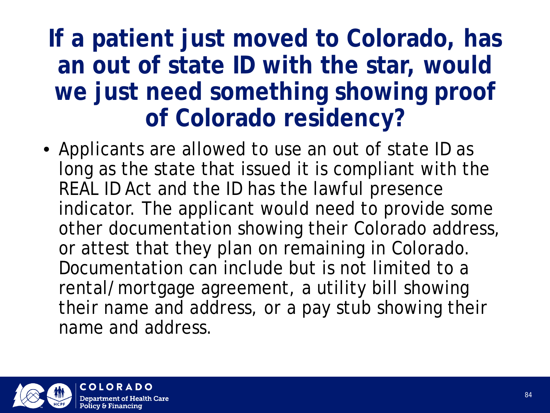#### **If a patient just moved to Colorado, has an out of state ID with the star, would we just need something showing proof of Colorado residency?**

• Applicants are allowed to use an out of state ID as long as the state that issued it is compliant with the REAL ID Act and the ID has the lawful presence indicator. The applicant would need to provide some other documentation showing their Colorado address, or attest that they plan on remaining in Colorado. Documentation can include but is not limited to a rental/mortgage agreement, a utility bill showing their name and address, or a pay stub showing their name and address.

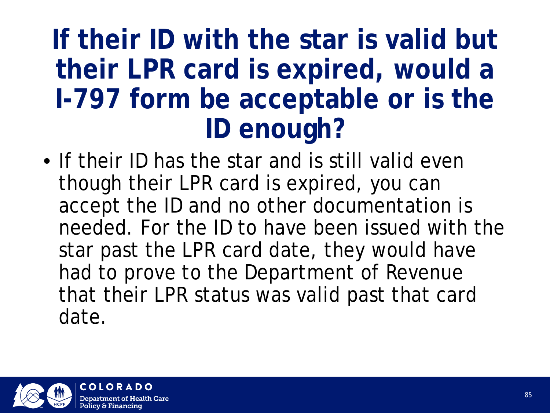### **If their ID with the star is valid but their LPR card is expired, would a I-797 form be acceptable or is the ID enough?**

• If their ID has the star and is still valid even though their LPR card is expired, you can accept the ID and no other documentation is needed. For the ID to have been issued with the star past the LPR card date, they would have had to prove to the Department of Revenue that their LPR status was valid past that card date.

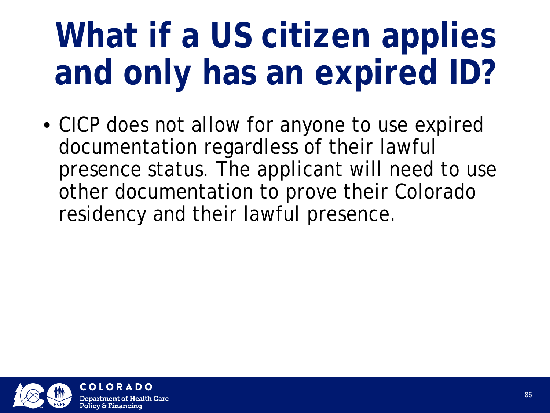# **What if a US citizen applies and only has an expired ID?**

• CICP does not allow for anyone to use expired documentation regardless of their lawful presence status. The applicant will need to use other documentation to prove their Colorado residency and their lawful presence.

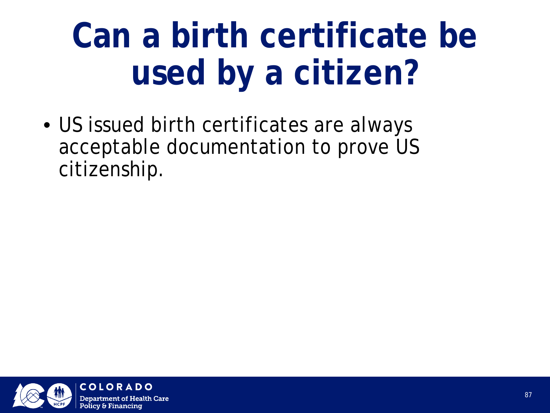# **Can a birth certificate be used by a citizen?**

• US issued birth certificates are always acceptable documentation to prove US citizenship.

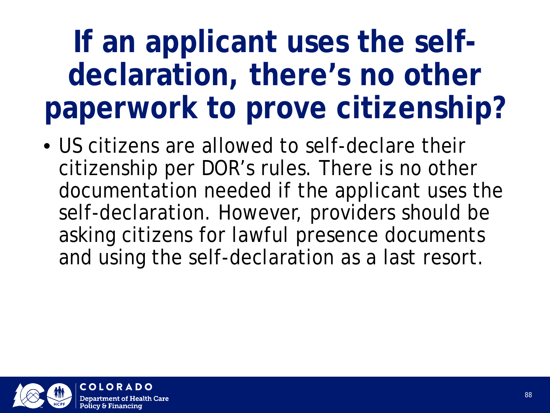## **If an applicant uses the selfdeclaration, there's no other paperwork to prove citizenship?**

• US citizens are allowed to self-declare their citizenship per DOR's rules. There is no other documentation needed if the applicant uses the self-declaration. However, providers should be asking citizens for lawful presence documents and using the self-declaration as a last resort.

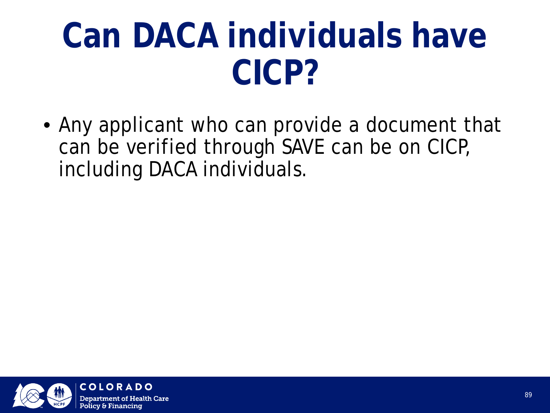## **Can DACA individuals have CICP?**

• Any applicant who can provide a document that can be verified through SAVE can be on CICP, including DACA individuals.

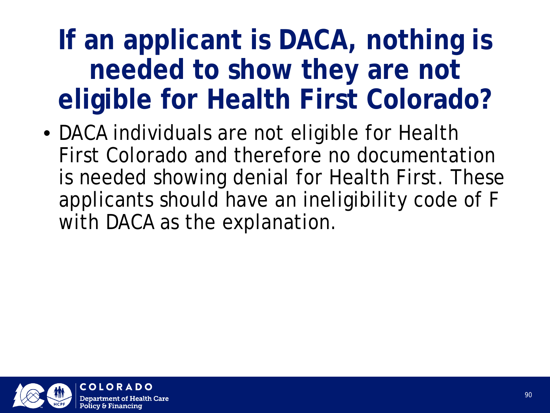### **If an applicant is DACA, nothing is needed to show they are not eligible for Health First Colorado?**

• DACA individuals are not eligible for Health First Colorado and therefore no documentation is needed showing denial for Health First. These applicants should have an ineligibility code of F with DACA as the explanation.

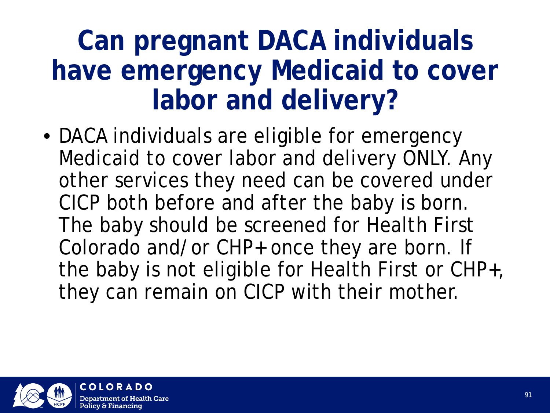### **Can pregnant DACA individuals have emergency Medicaid to cover labor and delivery?**

• DACA individuals are eligible for emergency Medicaid to cover labor and delivery ONLY. Any other services they need can be covered under CICP both before and after the baby is born. The baby should be screened for Health First Colorado and/or CHP+ once they are born. If the baby is not eligible for Health First or CHP+, they can remain on CICP with their mother.

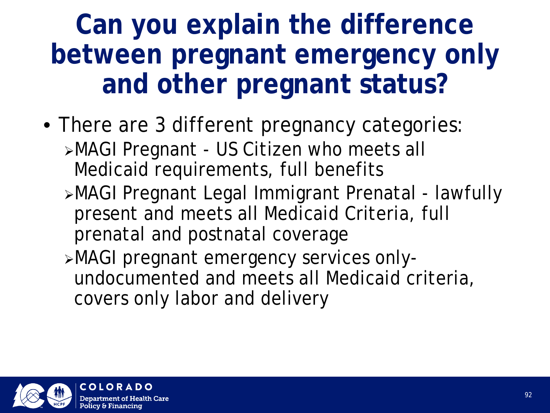### **Can you explain the difference between pregnant emergency only and other pregnant status?**

- There are 3 different pregnancy categories: MAGI Pregnant - US Citizen who meets all Medicaid requirements, full benefits
	- MAGI Pregnant Legal Immigrant Prenatal lawfully present and meets all Medicaid Criteria, full prenatal and postnatal coverage
	- MAGI pregnant emergency services onlyundocumented and meets all Medicaid criteria, covers only labor and delivery

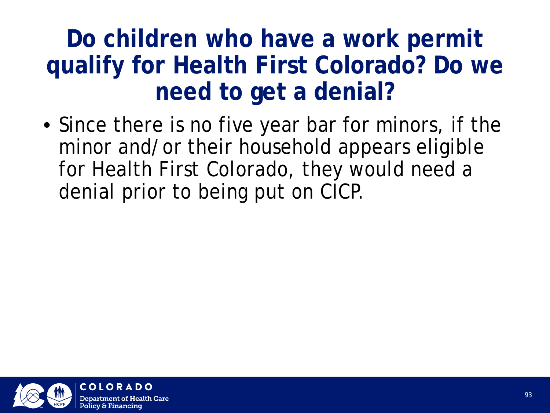#### **Do children who have a work permit qualify for Health First Colorado? Do we need to get a denial?**

• Since there is no five year bar for minors, if the minor and/or their household appears eligible for Health First Colorado, they would need a denial prior to being put on CICP.

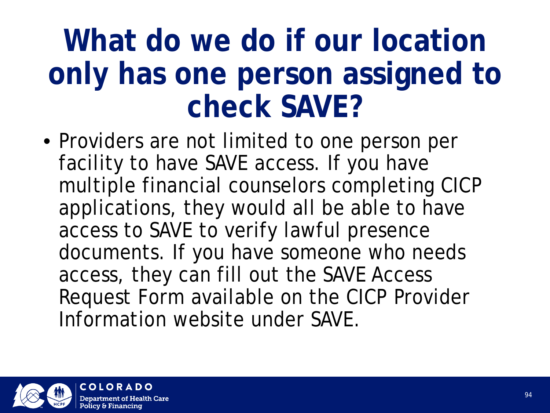### **What do we do if our location only has one person assigned to check SAVE?**

• Providers are not limited to one person per facility to have SAVE access. If you have multiple financial counselors completing CICP applications, they would all be able to have access to SAVE to verify lawful presence documents. If you have someone who needs access, they can fill out the SAVE Access Request Form available on the CICP Provider Information website under SAVE.

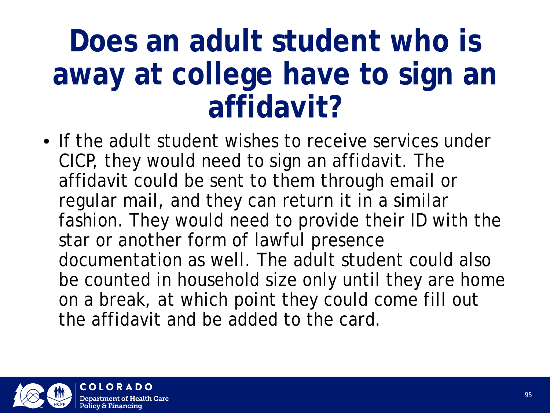### **Does an adult student who is away at college have to sign an affidavit?**

• If the adult student wishes to receive services under CICP, they would need to sign an affidavit. The affidavit could be sent to them through email or regular mail, and they can return it in a similar fashion. They would need to provide their ID with the star or another form of lawful presence documentation as well. The adult student could also be counted in household size only until they are home on a break, at which point they could come fill out the affidavit and be added to the card.

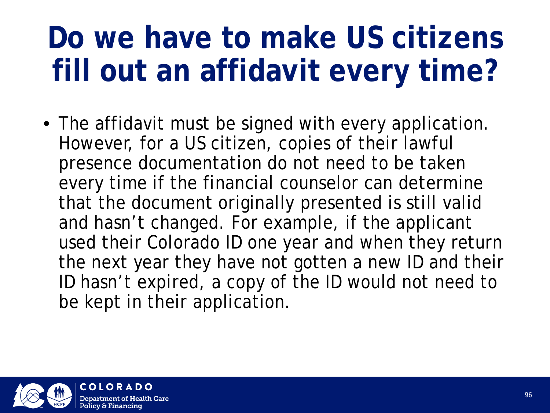## **Do we have to make US citizens fill out an affidavit every time?**

• The affidavit must be signed with every application. However, for a US citizen, copies of their lawful presence documentation do not need to be taken every time if the financial counselor can determine that the document originally presented is still valid and hasn't changed. For example, if the applicant used their Colorado ID one year and when they return the next year they have not gotten a new ID and their ID hasn't expired, a copy of the ID would not need to be kept in their application.

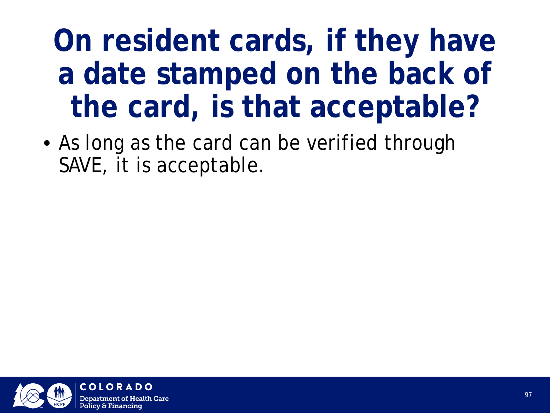### **On resident cards, if they have a date stamped on the back of the card, is that acceptable?**

• As long as the card can be verified through SAVE, it is acceptable.

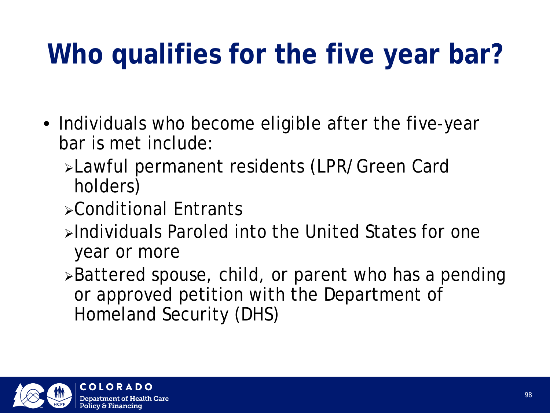### **Who qualifies for the five year bar?**

- Individuals who become eligible after the five-year bar is met include:
	- Lawful permanent residents (LPR/Green Card holders)
	- Conditional Entrants
	- Individuals Paroled into the United States for one year or more
	- Battered spouse, child, or parent who has a pending or approved petition with the Department of Homeland Security (DHS)

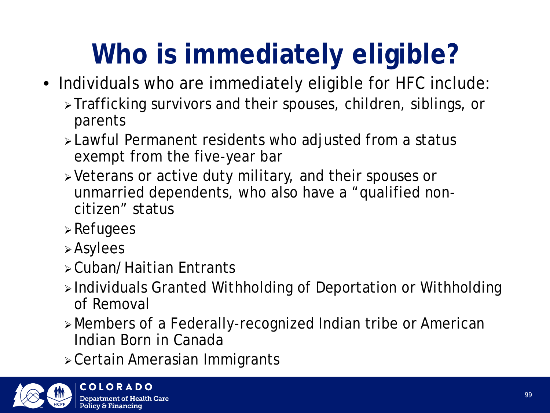## **Who is immediately eligible?**

- Individuals who are immediately eligible for HFC include:
	- Trafficking survivors and their spouses, children, siblings, or parents
	- Lawful Permanent residents who adjusted from a status exempt from the five-year bar
	- Veterans or active duty military, and their spouses or unmarried dependents, who also have a "qualified noncitizen" status
	- $\triangleright$  Refugees
	- Asylees
	- Cuban/Haitian Entrants
	- Individuals Granted Withholding of Deportation or Withholding of Removal
	- Members of a Federally-recognized Indian tribe or American Indian Born in Canada
	- Certain Amerasian Immigrants

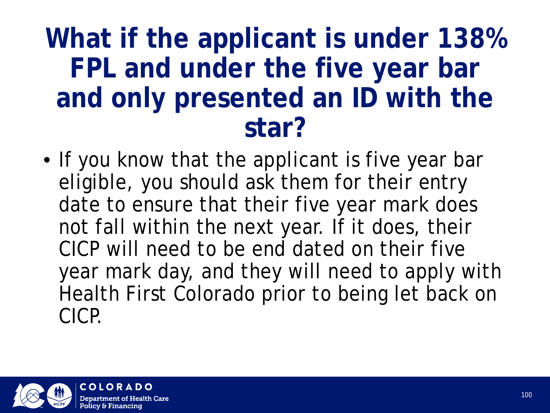#### **What if the applicant is under 138% FPL and under the five year bar and only presented an ID with the star?**

• If you know that the applicant is five year bar eligible, you should ask them for their entry date to ensure that their five year mark does not fall within the next year. If it does, their CICP will need to be end dated on their five year mark day, and they will need to apply with Health First Colorado prior to being let back on CICP.

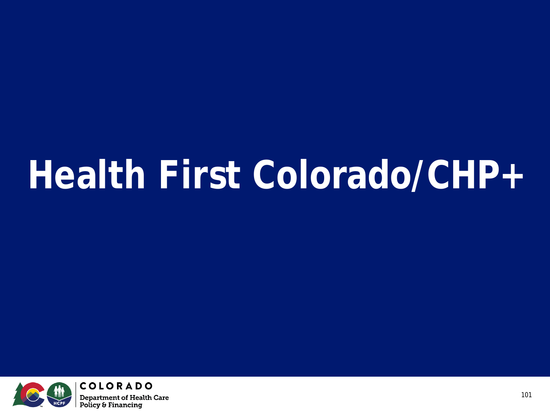# **Health First Colorado/CHP+**

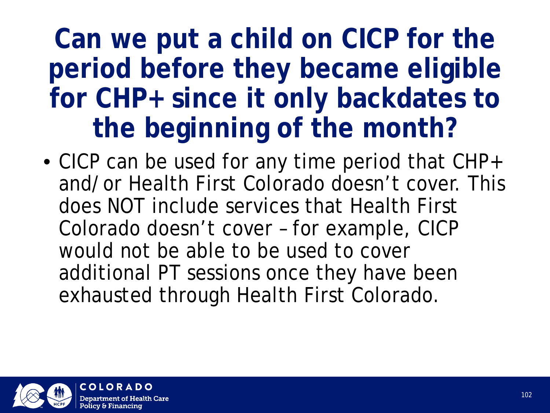### **Can we put a child on CICP for the period before they became eligible for CHP+ since it only backdates to the beginning of the month?**

• CICP can be used for any time period that CHP+ and/or Health First Colorado doesn't cover. This does NOT include services that Health First Colorado doesn't cover – for example, CICP would not be able to be used to cover additional PT sessions once they have been exhausted through Health First Colorado.

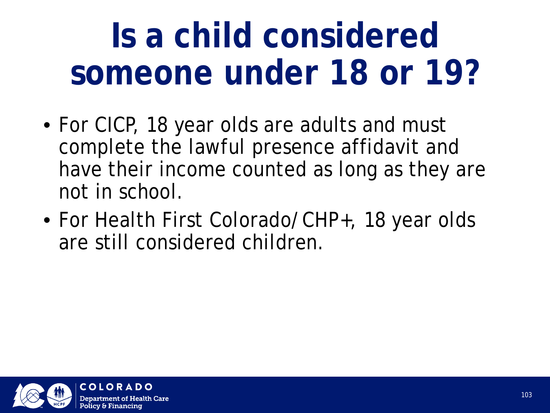# **Is a child considered someone under 18 or 19?**

- For CICP, 18 year olds are adults and must complete the lawful presence affidavit and have their income counted as long as they are not in school.
- For Health First Colorado/CHP+, 18 year olds are still considered children.

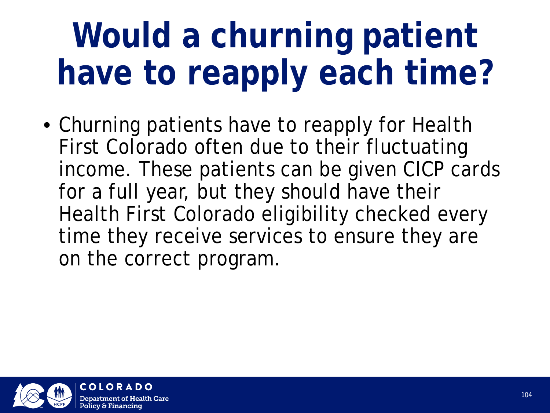# **Would a churning patient have to reapply each time?**

• Churning patients have to reapply for Health First Colorado often due to their fluctuating income. These patients can be given CICP cards for a full year, but they should have their Health First Colorado eligibility checked every time they receive services to ensure they are on the correct program.

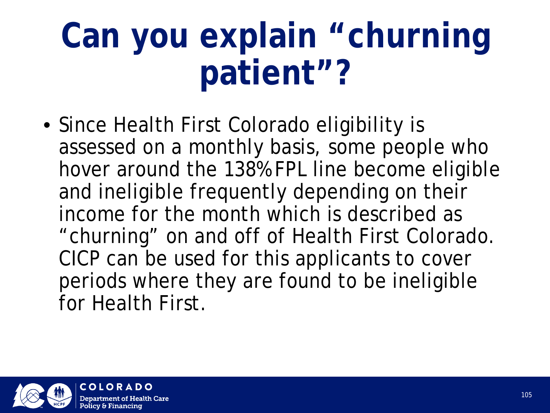## **Can you explain "churning patient"?**

• Since Health First Colorado eligibility is assessed on a monthly basis, some people who hover around the 138% FPL line become eligible and ineligible frequently depending on their income for the month which is described as "churning" on and off of Health First Colorado. CICP can be used for this applicants to cover periods where they are found to be ineligible for Health First.

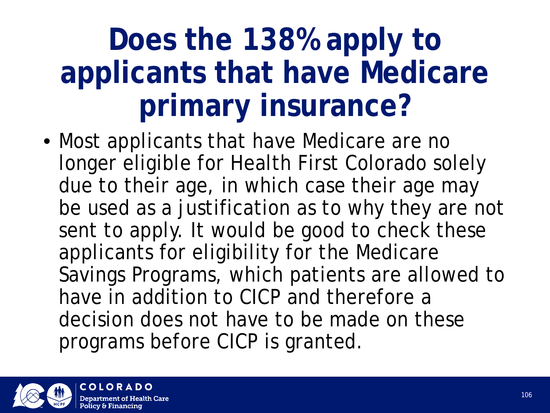## **Does the 138% apply to applicants that have Medicare primary insurance?**

• Most applicants that have Medicare are no longer eligible for Health First Colorado solely due to their age, in which case their age may be used as a justification as to why they are not sent to apply. It would be good to check these applicants for eligibility for the Medicare Savings Programs, which patients are allowed to have in addition to CICP and therefore a decision does not have to be made on these programs before CICP is granted.

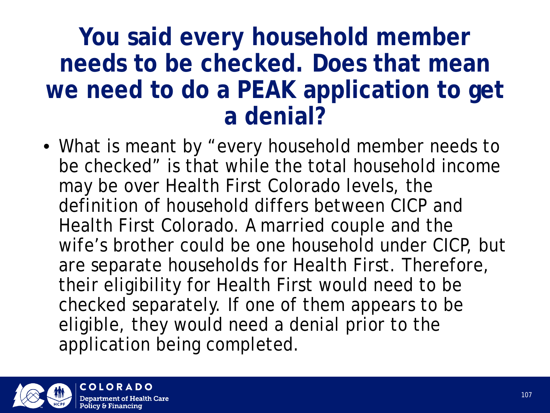#### **You said every household member needs to be checked. Does that mean we need to do a PEAK application to get a denial?**

• What is meant by "every household member needs to be checked" is that while the total household income may be over Health First Colorado levels, the definition of household differs between CICP and Health First Colorado. A married couple and the wife's brother could be one household under CICP, but are separate households for Health First. Therefore, their eligibility for Health First would need to be checked separately. If one of them appears to be eligible, they would need a denial prior to the application being completed.

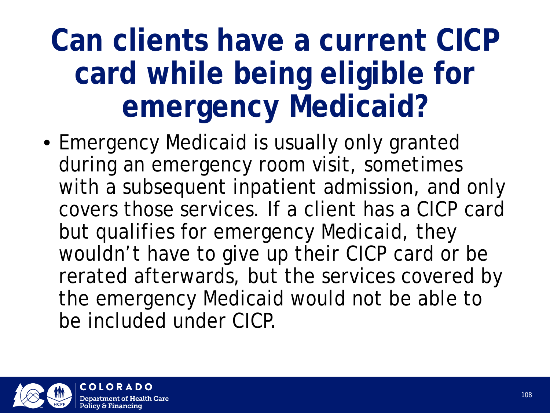## **Can clients have a current CICP card while being eligible for emergency Medicaid?**

• Emergency Medicaid is usually only granted during an emergency room visit, sometimes with a subsequent inpatient admission, and only covers those services. If a client has a CICP card but qualifies for emergency Medicaid, they wouldn't have to give up their CICP card or be rerated afterwards, but the services covered by the emergency Medicaid would not be able to be included under CICP.

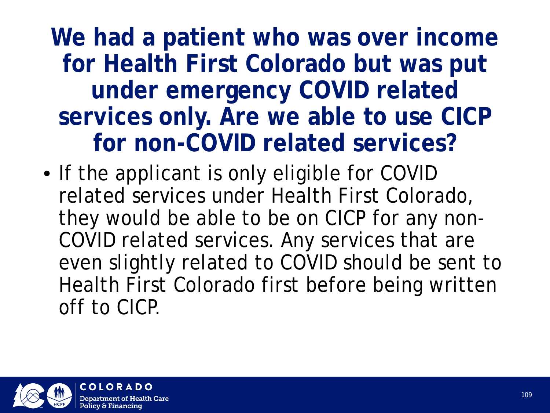**We had a patient who was over income for Health First Colorado but was put under emergency COVID related services only. Are we able to use CICP for non-COVID related services?**

• If the applicant is only eligible for COVID related services under Health First Colorado, they would be able to be on CICP for any non-COVID related services. Any services that are even slightly related to COVID should be sent to Health First Colorado first before being written off to CICP.

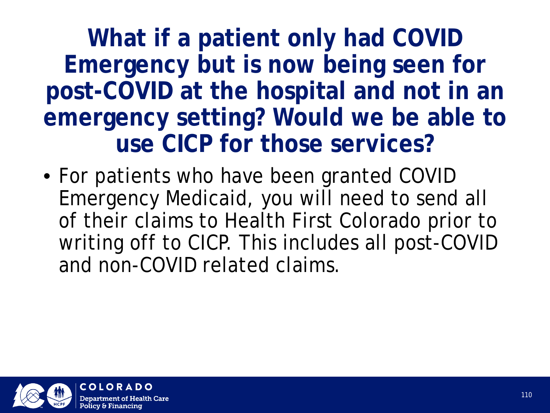**What if a patient only had COVID Emergency but is now being seen for post-COVID at the hospital and not in an emergency setting? Would we be able to use CICP for those services?**

• For patients who have been granted COVID Emergency Medicaid, you will need to send all of their claims to Health First Colorado prior to writing off to CICP. This includes all post-COVID and non-COVID related claims.

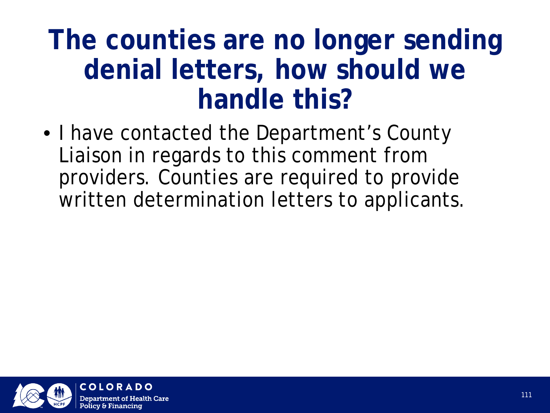### **The counties are no longer sending denial letters, how should we handle this?**

• I have contacted the Department's County Liaison in regards to this comment from providers. Counties are required to provide written determination letters to applicants.

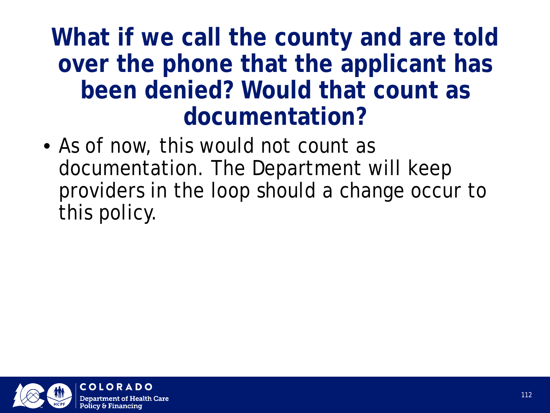#### **What if we call the county and are told over the phone that the applicant has been denied? Would that count as documentation?**

• As of now, this would not count as documentation. The Department will keep providers in the loop should a change occur to this policy.

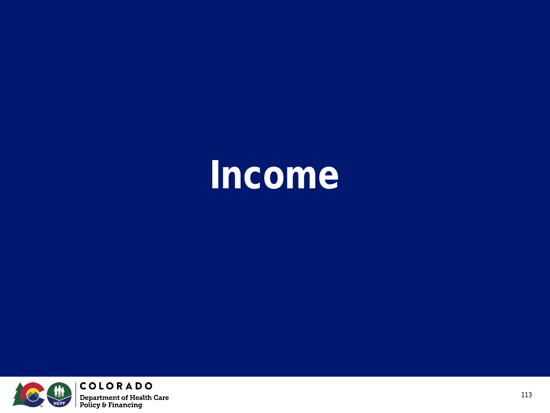# **Income**

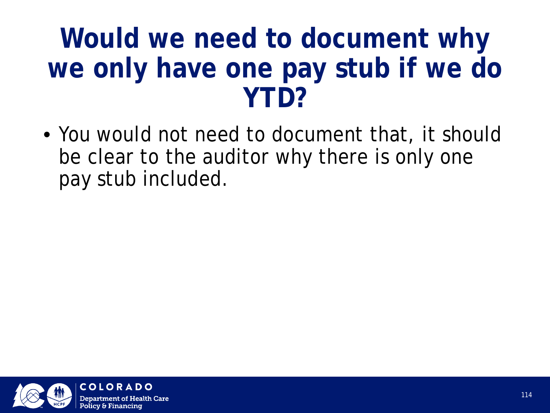### **Would we need to document why we only have one pay stub if we do YTD?**

• You would not need to document that, it should be clear to the auditor why there is only one pay stub included.

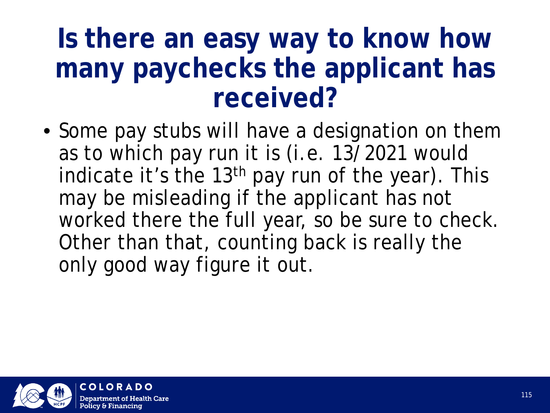### **Is there an easy way to know how many paychecks the applicant has received?**

• Some pay stubs will have a designation on them as to which pay run it is (i.e. 13/2021 would indicate it's the  $13<sup>th</sup>$  pay run of the year). This may be misleading if the applicant has not worked there the full year, so be sure to check. Other than that, counting back is really the only good way figure it out.

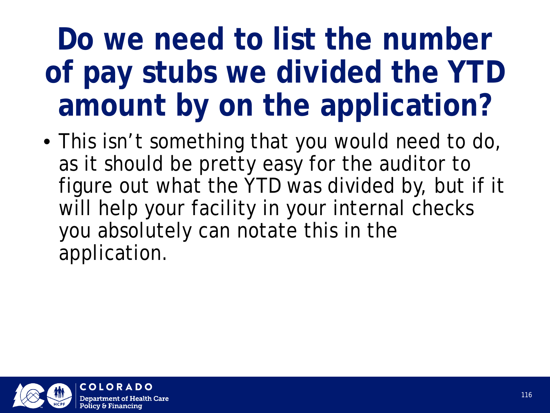## **Do we need to list the number of pay stubs we divided the YTD amount by on the application?**

• This isn't something that you would need to do, as it should be pretty easy for the auditor to figure out what the YTD was divided by, but if it will help your facility in your internal checks you absolutely can notate this in the application.

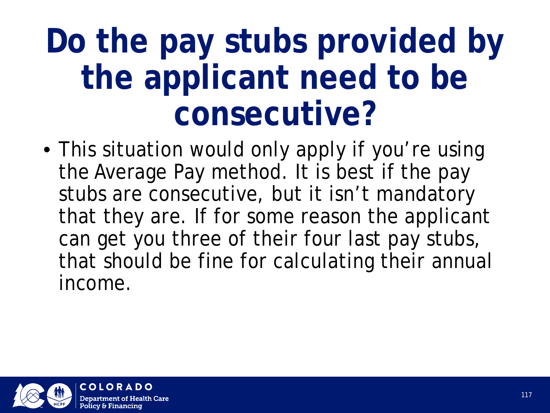# **Do the pay stubs provided by the applicant need to be consecutive?**

• This situation would only apply if you're using the Average Pay method. It is best if the pay stubs are consecutive, but it isn't mandatory that they are. If for some reason the applicant can get you three of their four last pay stubs, that should be fine for calculating their annual income.

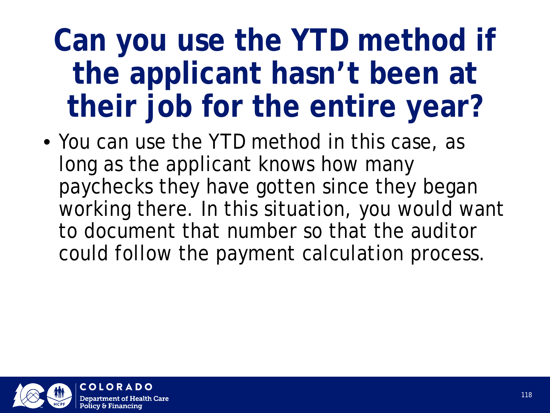## **Can you use the YTD method if the applicant hasn't been at their job for the entire year?**

• You can use the YTD method in this case, as long as the applicant knows how many paychecks they have gotten since they began working there. In this situation, you would want to document that number so that the auditor could follow the payment calculation process.

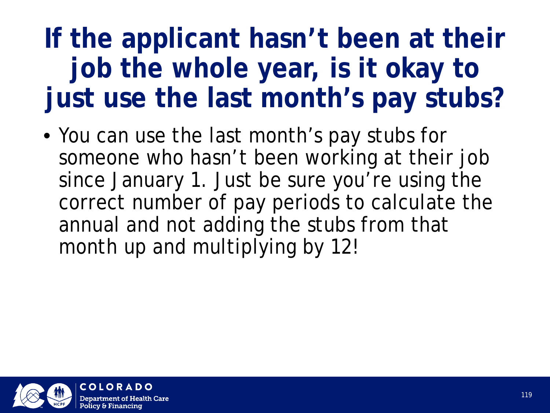### **If the applicant hasn't been at their job the whole year, is it okay to just use the last month's pay stubs?**

• You can use the last month's pay stubs for someone who hasn't been working at their job since January 1. Just be sure you're using the correct number of pay periods to calculate the annual and not adding the stubs from that month up and multiplying by 12!

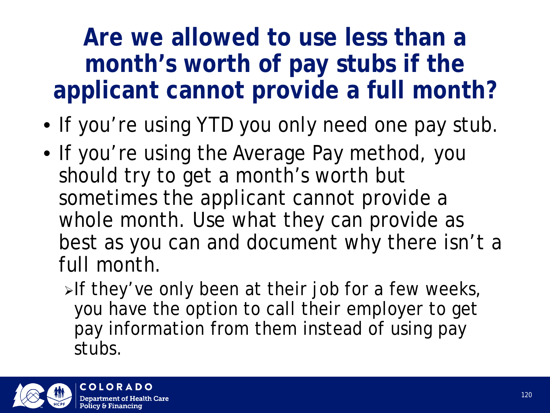#### **Are we allowed to use less than a month's worth of pay stubs if the applicant cannot provide a full month?**

- If you're using YTD you only need one pay stub.
- If you're using the Average Pay method, you should try to get a month's worth but sometimes the applicant cannot provide a whole month. Use what they can provide as best as you can and document why there isn't a full month.
	- $\triangleright$ If they've only been at their job for a few weeks, you have the option to call their employer to get pay information from them instead of using pay stubs.

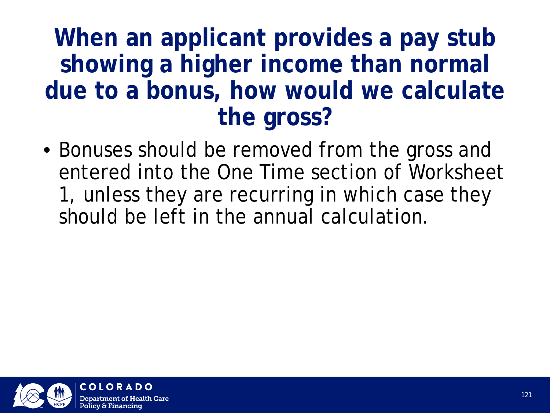#### **When an applicant provides a pay stub showing a higher income than normal due to a bonus, how would we calculate the gross?**

• Bonuses should be removed from the gross and entered into the One Time section of Worksheet 1, unless they are recurring in which case they should be left in the annual calculation.

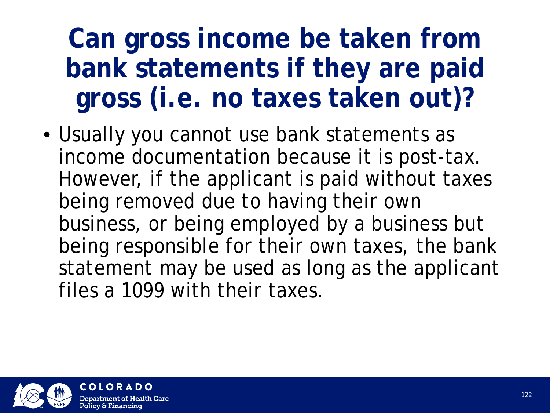### **Can gross income be taken from bank statements if they are paid gross (i.e. no taxes taken out)?**

• Usually you cannot use bank statements as income documentation because it is post-tax. However, if the applicant is paid without taxes being removed due to having their own business, or being employed by a business but being responsible for their own taxes, the bank statement may be used as long as the applicant files a 1099 with their taxes.

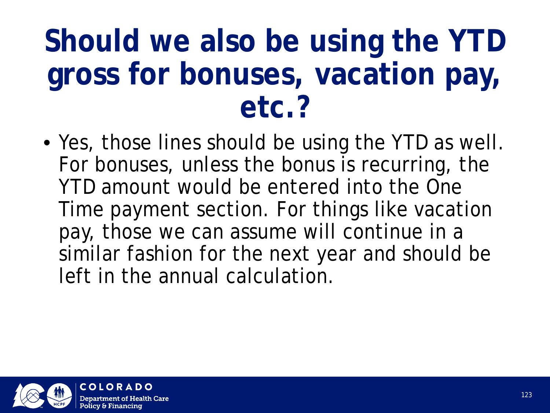## **Should we also be using the YTD gross for bonuses, vacation pay, etc.?**

• Yes, those lines should be using the YTD as well. For bonuses, unless the bonus is recurring, the YTD amount would be entered into the One Time payment section. For things like vacation pay, those we can assume will continue in a similar fashion for the next year and should be left in the annual calculation.

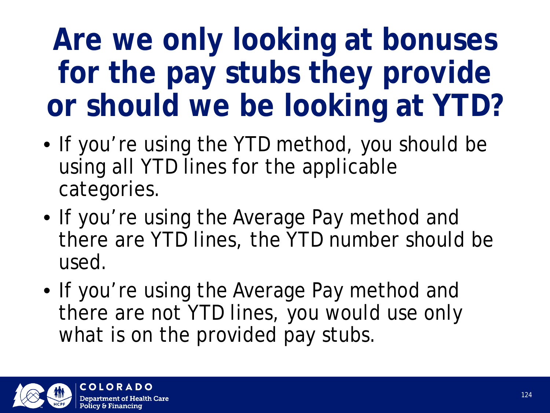## **Are we only looking at bonuses for the pay stubs they provide or should we be looking at YTD?**

- If you're using the YTD method, you should be using all YTD lines for the applicable categories.
- If you're using the Average Pay method and there are YTD lines, the YTD number should be used.
- If you're using the Average Pay method and there are not YTD lines, you would use only what is on the provided pay stubs.

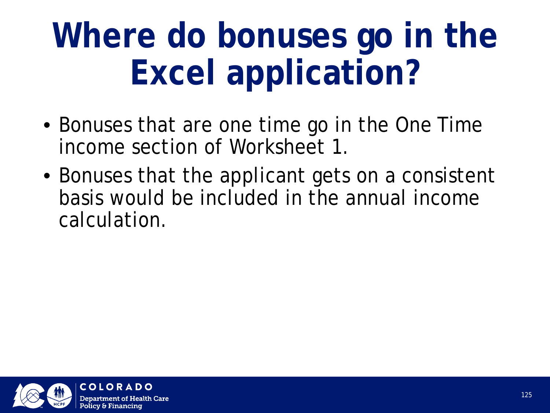# **Where do bonuses go in the Excel application?**

- Bonuses that are one time go in the One Time income section of Worksheet 1.
- Bonuses that the applicant gets on a consistent basis would be included in the annual income calculation.

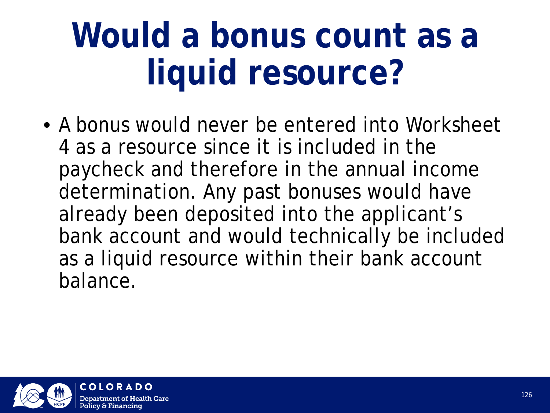# **Would a bonus count as a liquid resource?**

• A bonus would never be entered into Worksheet 4 as a resource since it is included in the paycheck and therefore in the annual income determination. Any past bonuses would have already been deposited into the applicant's bank account and would technically be included as a liquid resource within their bank account balance.

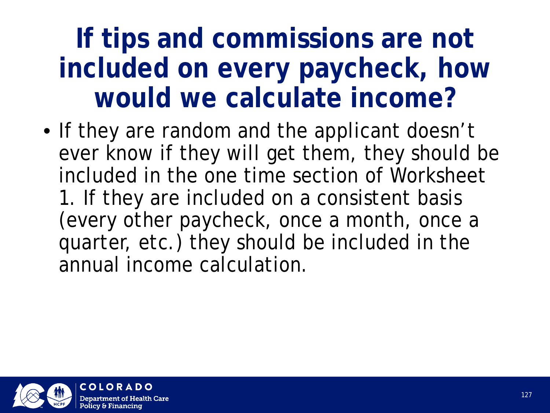### **If tips and commissions are not included on every paycheck, how would we calculate income?**

• If they are random and the applicant doesn't ever know if they will get them, they should be included in the one time section of Worksheet 1. If they are included on a consistent basis (every other paycheck, once a month, once a quarter, etc.) they should be included in the annual income calculation.

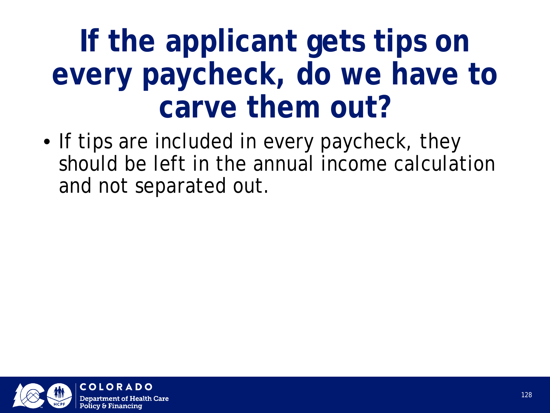## **If the applicant gets tips on every paycheck, do we have to carve them out?**

• If tips are included in every paycheck, they should be left in the annual income calculation and not separated out.

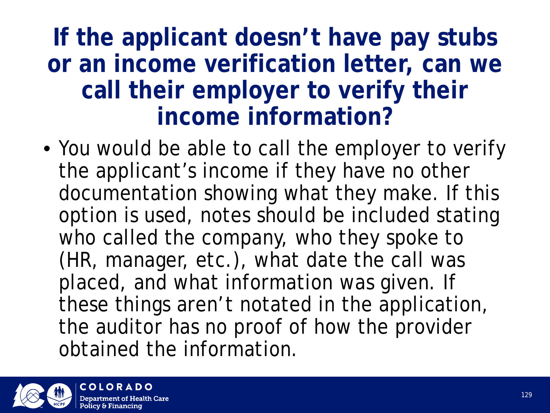#### **If the applicant doesn't have pay stubs or an income verification letter, can we call their employer to verify their income information?**

• You would be able to call the employer to verify the applicant's income if they have no other documentation showing what they make. If this option is used, notes should be included stating who called the company, who they spoke to (HR, manager, etc.), what date the call was placed, and what information was given. If these things aren't notated in the application, the auditor has no proof of how the provider obtained the information.

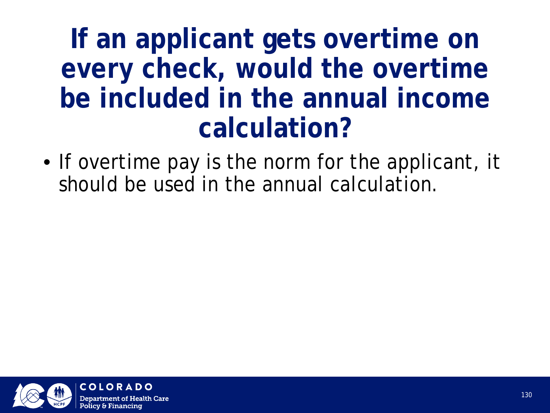### **If an applicant gets overtime on every check, would the overtime be included in the annual income calculation?**

• If overtime pay is the norm for the applicant, it should be used in the annual calculation.

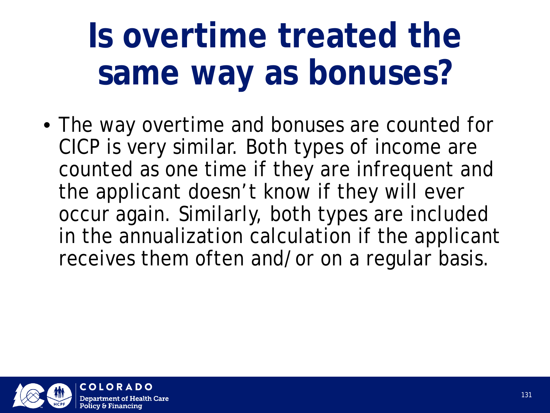# **Is overtime treated the same way as bonuses?**

• The way overtime and bonuses are counted for CICP is very similar. Both types of income are counted as one time if they are infrequent and the applicant doesn't know if they will ever occur again. Similarly, both types are included in the annualization calculation if the applicant receives them often and/or on a regular basis.

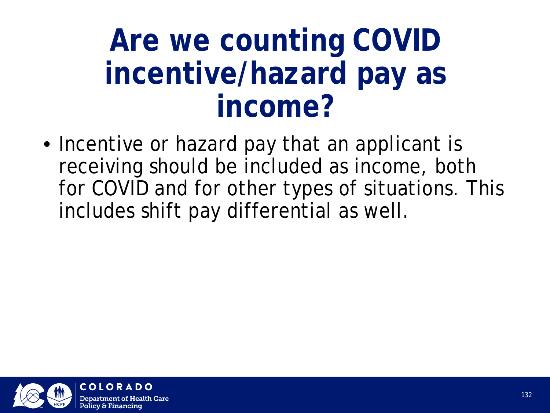## **Are we counting COVID incentive/hazard pay as income?**

• Incentive or hazard pay that an applicant is receiving should be included as income, both for COVID and for other types of situations. This includes shift pay differential as well.

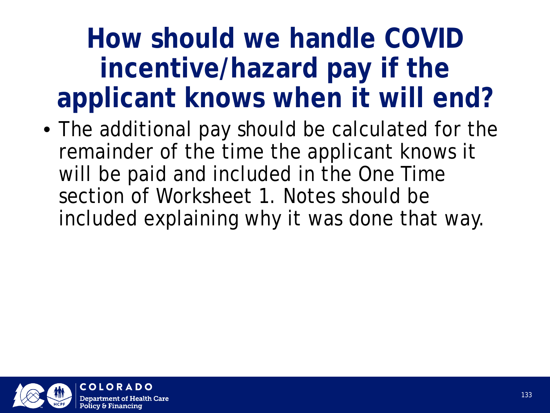### **How should we handle COVID incentive/hazard pay if the applicant knows when it will end?**

• The additional pay should be calculated for the remainder of the time the applicant knows it will be paid and included in the One Time section of Worksheet 1. Notes should be included explaining why it was done that way.

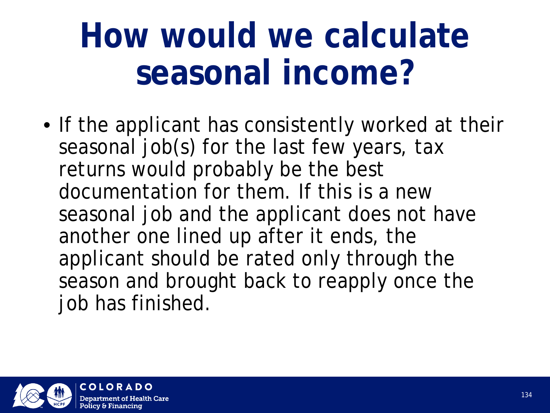# **How would we calculate seasonal income?**

• If the applicant has consistently worked at their seasonal job(s) for the last few years, tax returns would probably be the best documentation for them. If this is a new seasonal job and the applicant does not have another one lined up after it ends, the applicant should be rated only through the season and brought back to reapply once the job has finished.

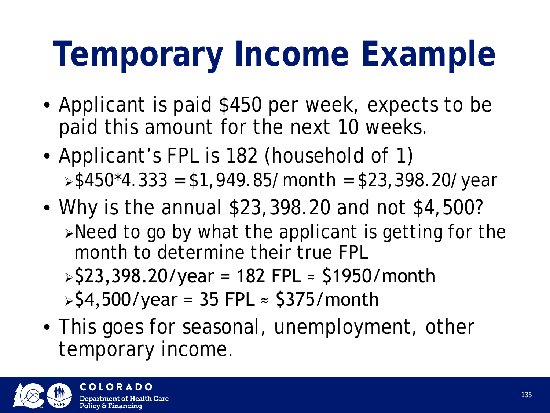# **Temporary Income Example**

- Applicant is paid \$450 per week, expects to be paid this amount for the next 10 weeks.
- Applicant's FPL is 182 (household of 1)  $\frac{1}{2}$ \$450\*4.333 = \$1,949.85/month = \$23,398.20/year
- Why is the annual \$23,398.20 and not \$4,500?  $\triangleright$ Need to go by what the applicant is getting for the month to determine their true FPL
	- $\frac{1}{2}$ \$23,398.20/year = 182 FPL  $\approx$  \$1950/month
	- $\frac{1}{2}$ \$4,500/year = 35 FPL  $\approx$  \$375/month
- This goes for seasonal, unemployment, other temporary income.

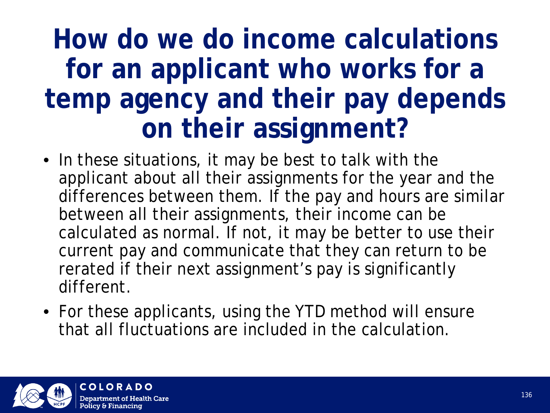### **How do we do income calculations for an applicant who works for a temp agency and their pay depends on their assignment?**

- In these situations, it may be best to talk with the applicant about all their assignments for the year and the differences between them. If the pay and hours are similar between all their assignments, their income can be calculated as normal. If not, it may be better to use their current pay and communicate that they can return to be rerated if their next assignment's pay is significantly different.
- For these applicants, using the YTD method will ensure that all fluctuations are included in the calculation.

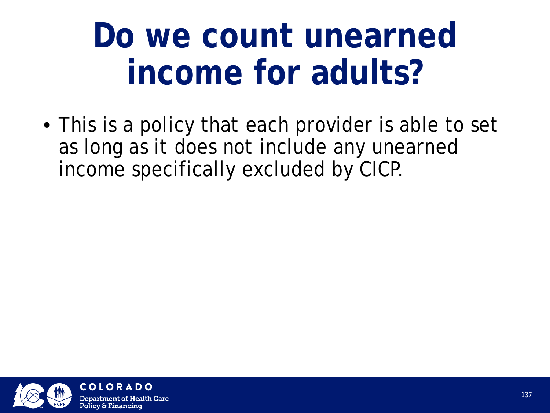# **Do we count unearned income for adults?**

• This is a policy that each provider is able to set as long as it does not include any unearned income specifically excluded by CICP.

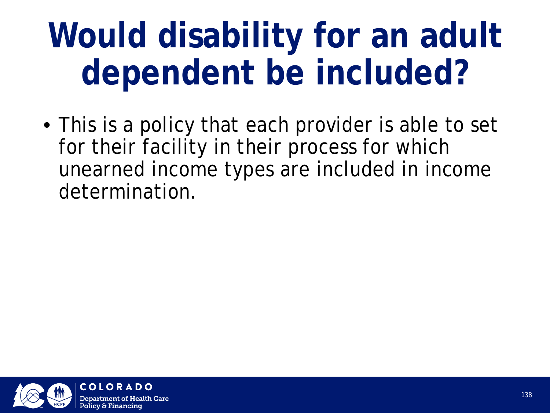# **Would disability for an adult dependent be included?**

• This is a policy that each provider is able to set for their facility in their process for which unearned income types are included in income determination.

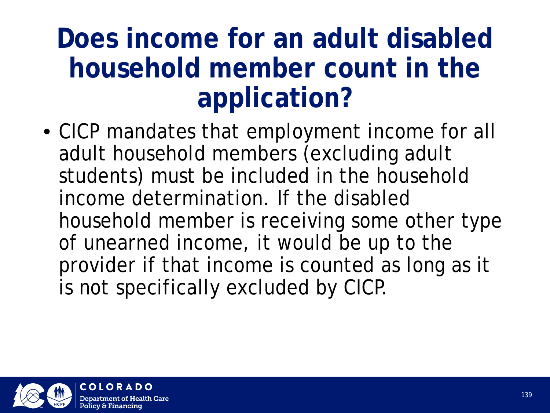### **Does income for an adult disabled household member count in the application?**

• CICP mandates that employment income for all adult household members (excluding adult students) must be included in the household income determination. If the disabled household member is receiving some other type of unearned income, it would be up to the provider if that income is counted as long as it is not specifically excluded by CICP.

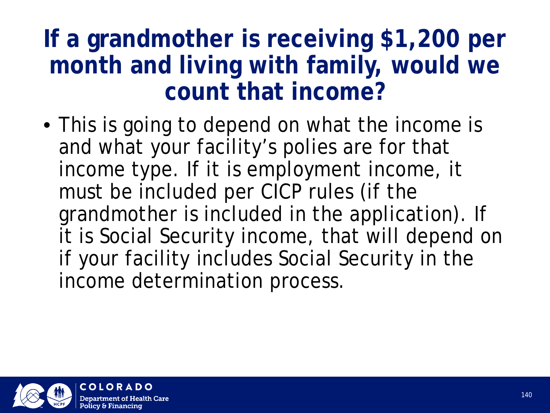#### **If a grandmother is receiving \$1,200 per month and living with family, would we count that income?**

• This is going to depend on what the income is and what your facility's polies are for that income type. If it is employment income, it must be included per CICP rules (if the grandmother is included in the application). If it is Social Security income, that will depend on if your facility includes Social Security in the income determination process.

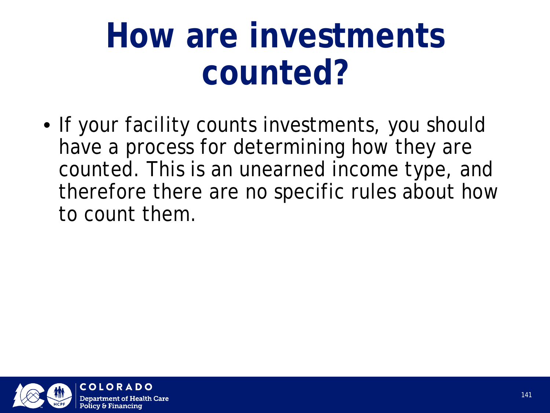# **How are investments counted?**

• If your facility counts investments, you should have a process for determining how they are counted. This is an unearned income type, and therefore there are no specific rules about how to count them.

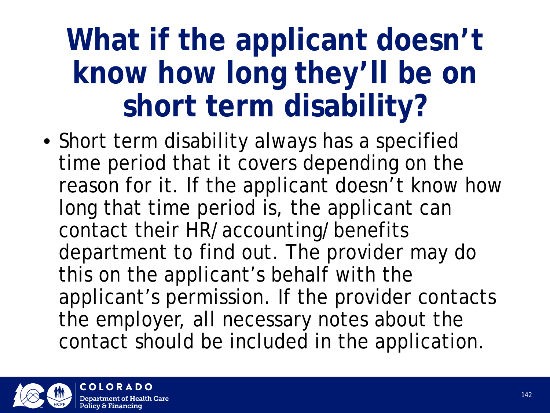## **What if the applicant doesn't know how long they'll be on short term disability?**

• Short term disability always has a specified time period that it covers depending on the reason for it. If the applicant doesn't know how long that time period is, the applicant can contact their HR/accounting/benefits department to find out. The provider may do this on the applicant's behalf with the applicant's permission. If the provider contacts the employer, all necessary notes about the contact should be included in the application.

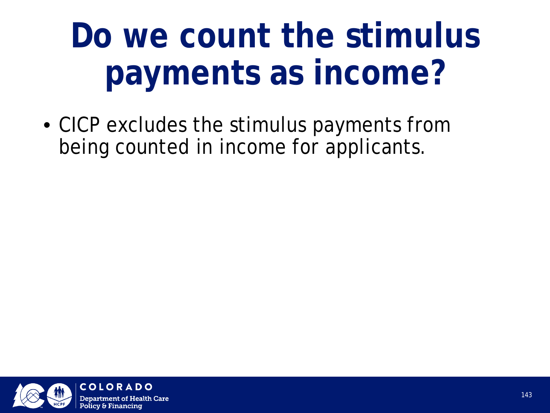# **Do we count the stimulus payments as income?**

• CICP excludes the stimulus payments from being counted in income for applicants.

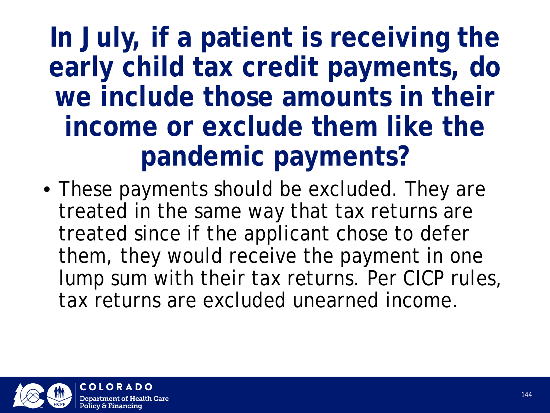**In July, if a patient is receiving the early child tax credit payments, do we include those amounts in their income or exclude them like the pandemic payments?**

• These payments should be excluded. They are treated in the same way that tax returns are treated since if the applicant chose to defer them, they would receive the payment in one lump sum with their tax returns. Per CICP rules, tax returns are excluded unearned income.

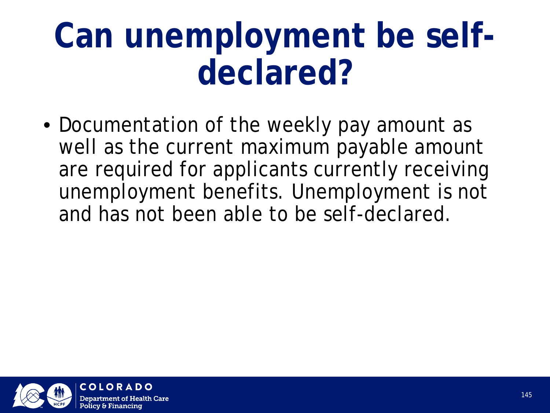## **Can unemployment be selfdeclared?**

• Documentation of the weekly pay amount as well as the current maximum payable amount are required for applicants currently receiving unemployment benefits. Unemployment is not and has not been able to be self-declared.

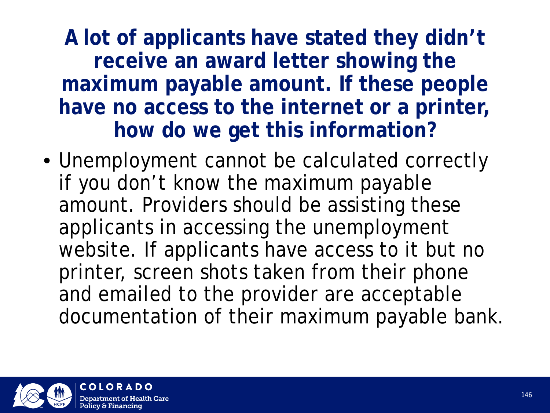**A lot of applicants have stated they didn't receive an award letter showing the maximum payable amount. If these people have no access to the internet or a printer, how do we get this information?**

• Unemployment cannot be calculated correctly if you don't know the maximum payable amount. Providers should be assisting these applicants in accessing the unemployment website. If applicants have access to it but no printer, screen shots taken from their phone and emailed to the provider are acceptable documentation of their maximum payable bank.

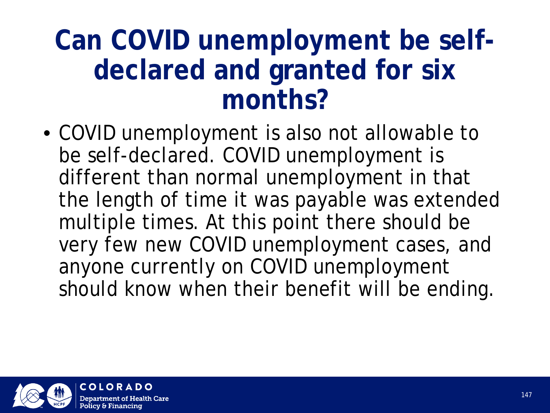### **Can COVID unemployment be selfdeclared and granted for six months?**

• COVID unemployment is also not allowable to be self-declared. COVID unemployment is different than normal unemployment in that the length of time it was payable was extended multiple times. At this point there should be very few new COVID unemployment cases, and anyone currently on COVID unemployment should know when their benefit will be ending.

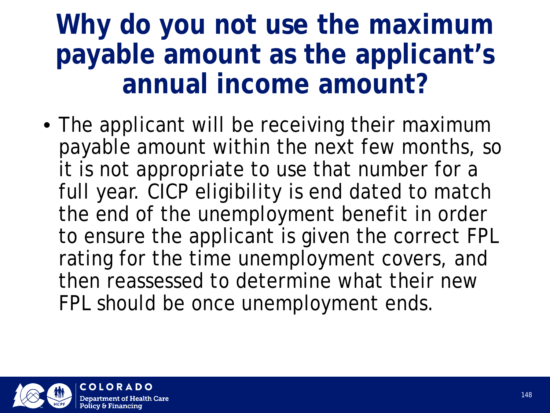### **Why do you not use the maximum payable amount as the applicant's annual income amount?**

• The applicant will be receiving their maximum payable amount within the next few months, so it is not appropriate to use that number for a full year. CICP eligibility is end dated to match the end of the unemployment benefit in order to ensure the applicant is given the correct FPL rating for the time unemployment covers, and then reassessed to determine what their new FPL should be once unemployment ends.

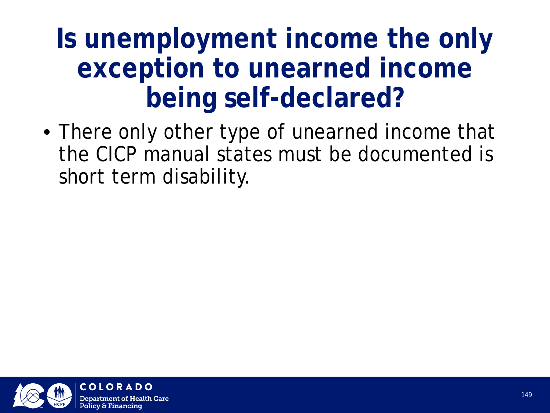### **Is unemployment income the only exception to unearned income being self-declared?**

• There only other type of unearned income that the CICP manual states must be documented is short term disability.

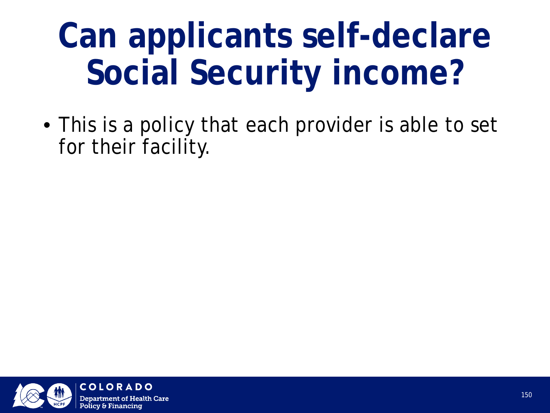## **Can applicants self-declare Social Security income?**

• This is a policy that each provider is able to set for their facility.

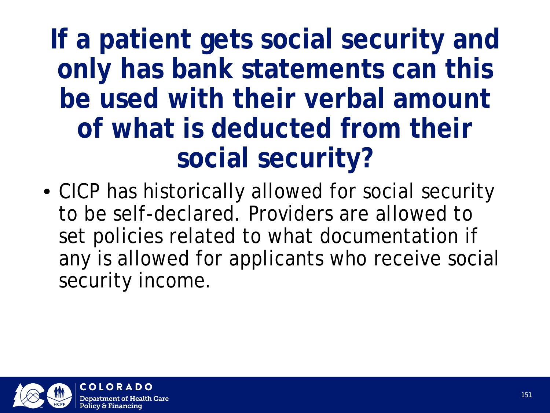### **If a patient gets social security and only has bank statements can this be used with their verbal amount of what is deducted from their social security?**

• CICP has historically allowed for social security to be self-declared. Providers are allowed to set policies related to what documentation if any is allowed for applicants who receive social security income.

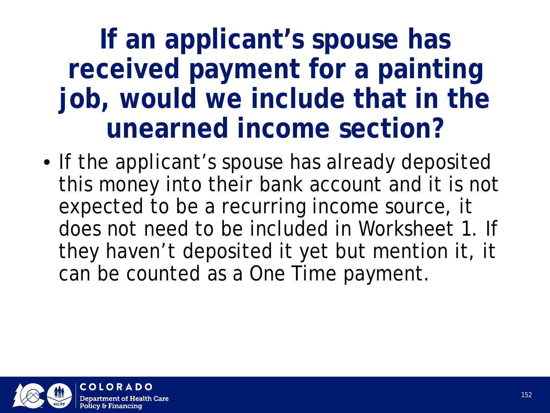### **If an applicant's spouse has received payment for a painting job, would we include that in the unearned income section?**

• If the applicant's spouse has already deposited this money into their bank account and it is not expected to be a recurring income source, it does not need to be included in Worksheet 1. If they haven't deposited it yet but mention it, it can be counted as a One Time payment.

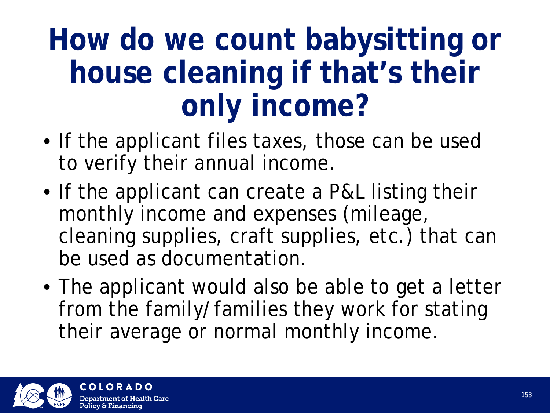### **How do we count babysitting or house cleaning if that's their only income?**

- If the applicant files taxes, those can be used to verify their annual income.
- If the applicant can create a P&L listing their monthly income and expenses (mileage, cleaning supplies, craft supplies, etc.) that can be used as documentation.
- The applicant would also be able to get a letter from the family/families they work for stating their average or normal monthly income.

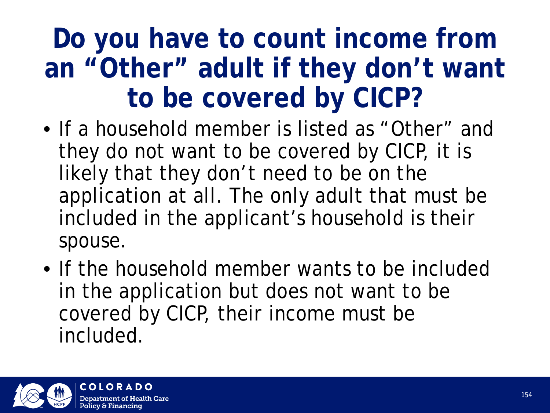### **Do you have to count income from an "Other" adult if they don't want to be covered by CICP?**

- If a household member is listed as "Other" and they do not want to be covered by CICP, it is likely that they don't need to be on the application at all. The only adult that must be included in the applicant's household is their spouse.
- If the household member wants to be included in the application but does not want to be covered by CICP, their income must be included.

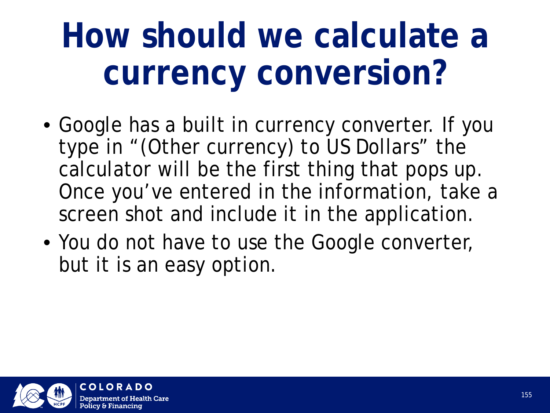## **How should we calculate a currency conversion?**

- Google has a built in currency converter. If you type in "(Other currency) to US Dollars" the calculator will be the first thing that pops up. Once you've entered in the information, take a screen shot and include it in the application.
- You do not have to use the Google converter, but it is an easy option.

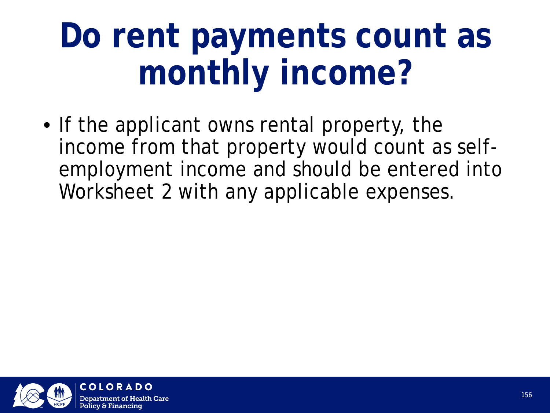## **Do rent payments count as monthly income?**

• If the applicant owns rental property, the income from that property would count as selfemployment income and should be entered into Worksheet 2 with any applicable expenses.

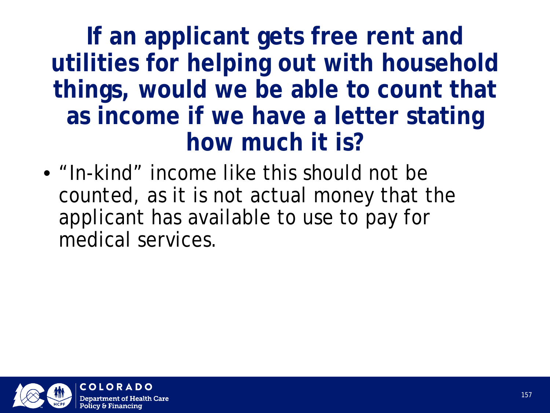**If an applicant gets free rent and utilities for helping out with household things, would we be able to count that as income if we have a letter stating how much it is?**

• "In-kind" income like this should not be counted, as it is not actual money that the applicant has available to use to pay for medical services.

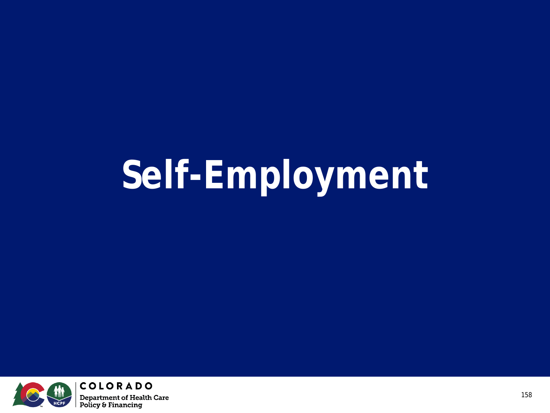# **Self-Employment**

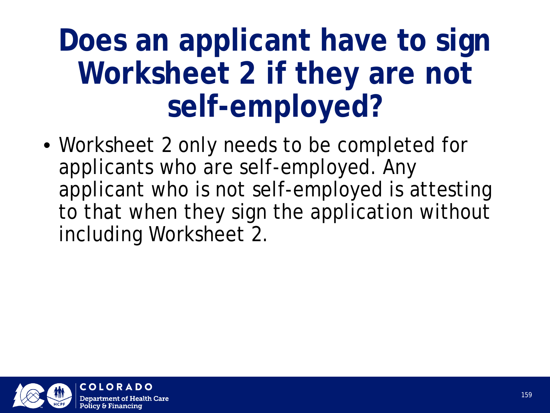### **Does an applicant have to sign Worksheet 2 if they are not self-employed?**

• Worksheet 2 only needs to be completed for applicants who are self-employed. Any applicant who is not self-employed is attesting to that when they sign the application without including Worksheet 2.

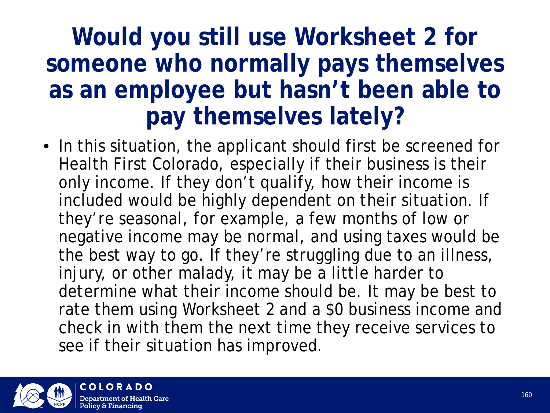#### **Would you still use Worksheet 2 for someone who normally pays themselves as an employee but hasn't been able to pay themselves lately?**

• In this situation, the applicant should first be screened for Health First Colorado, especially if their business is their only income. If they don't qualify, how their income is included would be highly dependent on their situation. If they're seasonal, for example, a few months of low or negative income may be normal, and using taxes would be the best way to go. If they're struggling due to an illness, injury, or other malady, it may be a little harder to determine what their income should be. It may be best to rate them using Worksheet 2 and a \$0 business income and check in with them the next time they receive services to see if their situation has improved.

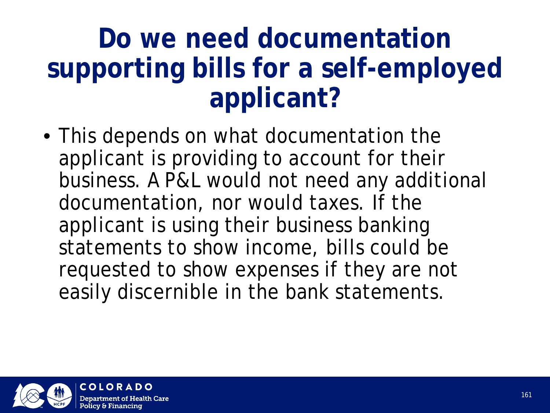### **Do we need documentation supporting bills for a self-employed applicant?**

• This depends on what documentation the applicant is providing to account for their business. A P&L would not need any additional documentation, nor would taxes. If the applicant is using their business banking statements to show income, bills could be requested to show expenses if they are not easily discernible in the bank statements.

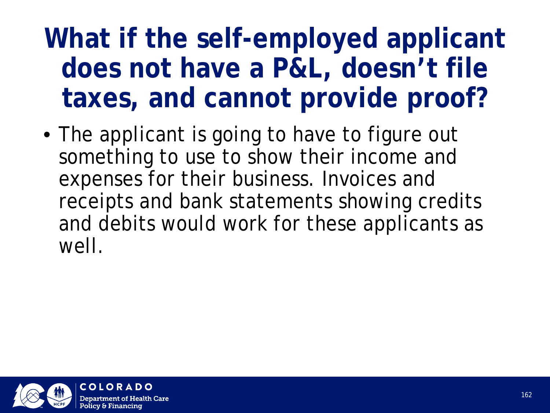### **What if the self-employed applicant does not have a P&L, doesn't file taxes, and cannot provide proof?**

• The applicant is going to have to figure out something to use to show their income and expenses for their business. Invoices and receipts and bank statements showing credits and debits would work for these applicants as well.

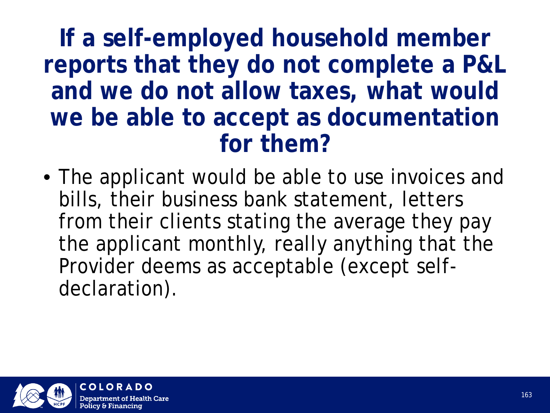**If a self-employed household member reports that they do not complete a P&L and we do not allow taxes, what would we be able to accept as documentation for them?**

• The applicant would be able to use invoices and bills, their business bank statement, letters from their clients stating the average they pay the applicant monthly, really anything that the Provider deems as acceptable (except selfdeclaration).

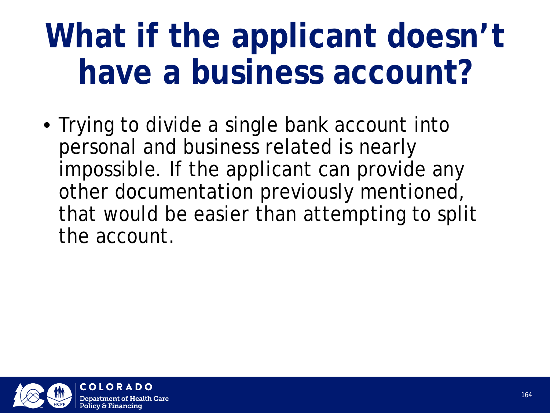## **What if the applicant doesn't have a business account?**

• Trying to divide a single bank account into personal and business related is nearly impossible. If the applicant can provide any other documentation previously mentioned, that would be easier than attempting to split the account.

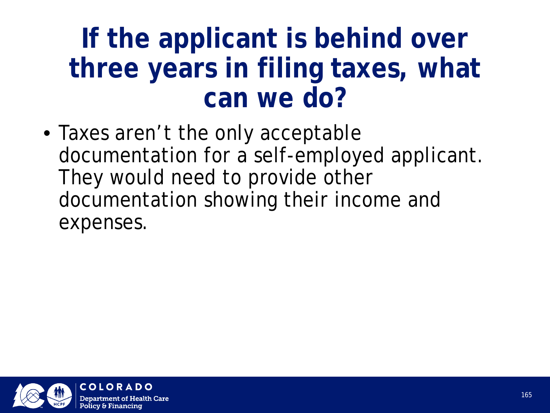### **If the applicant is behind over three years in filing taxes, what can we do?**

• Taxes aren't the only acceptable documentation for a self-employed applicant. They would need to provide other documentation showing their income and expenses.

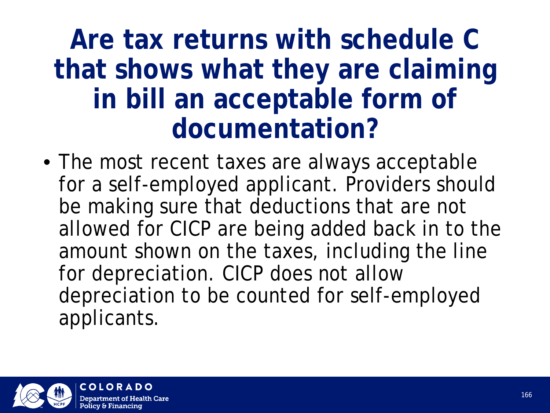### **Are tax returns with schedule C that shows what they are claiming in bill an acceptable form of documentation?**

• The most recent taxes are always acceptable for a self-employed applicant. Providers should be making sure that deductions that are not allowed for CICP are being added back in to the amount shown on the taxes, including the line for depreciation. CICP does not allow depreciation to be counted for self-employed applicants.

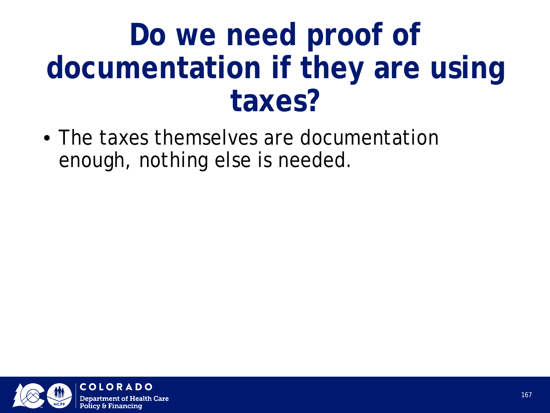### **Do we need proof of documentation if they are using taxes?**

• The taxes themselves are documentation enough, nothing else is needed.

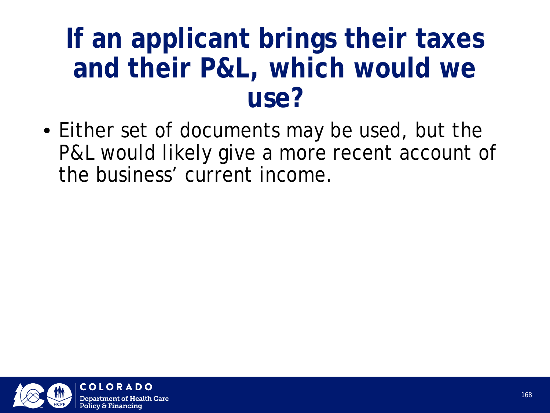### **If an applicant brings their taxes and their P&L, which would we use?**

• Either set of documents may be used, but the P&L would likely give a more recent account of the business' current income.

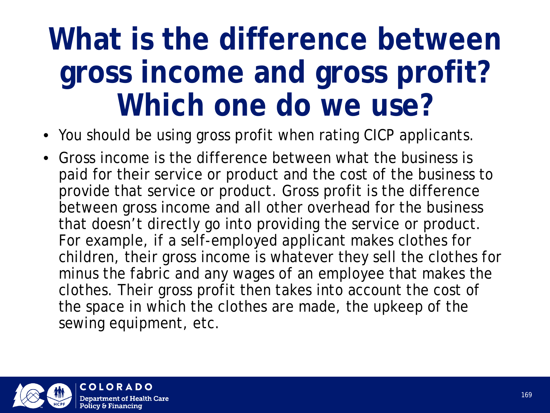### **What is the difference between gross income and gross profit? Which one do we use?**

- You should be using gross profit when rating CICP applicants.
- Gross income is the difference between what the business is paid for their service or product and the cost of the business to provide that service or product. Gross profit is the difference between gross income and all other overhead for the business that doesn't directly go into providing the service or product. For example, if a self-employed applicant makes clothes for children, their gross income is whatever they sell the clothes for minus the fabric and any wages of an employee that makes the clothes. Their gross profit then takes into account the cost of the space in which the clothes are made, the upkeep of the sewing equipment, etc.

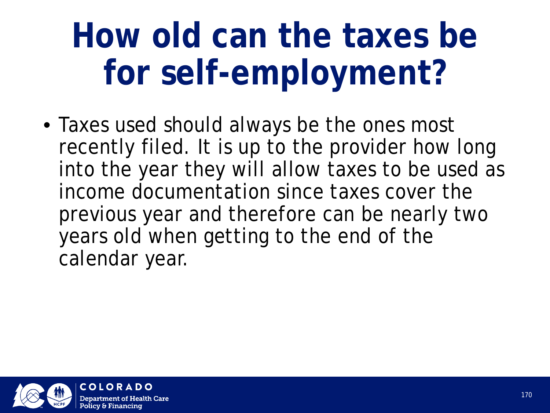## **How old can the taxes be for self-employment?**

• Taxes used should always be the ones most recently filed. It is up to the provider how long into the year they will allow taxes to be used as income documentation since taxes cover the previous year and therefore can be nearly two years old when getting to the end of the calendar year.

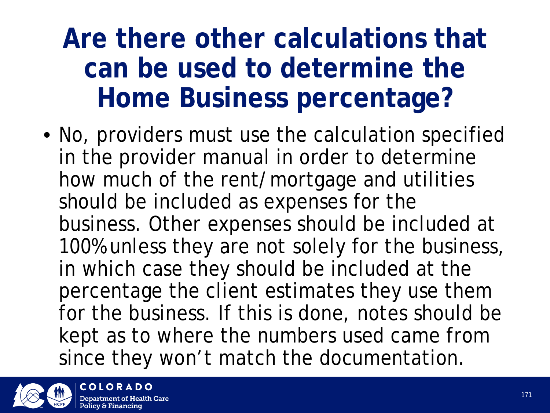### **Are there other calculations that can be used to determine the Home Business percentage?**

• No, providers must use the calculation specified in the provider manual in order to determine how much of the rent/mortgage and utilities should be included as expenses for the business. Other expenses should be included at 100% unless they are not solely for the business, in which case they should be included at the percentage the client estimates they use them for the business. If this is done, notes should be kept as to where the numbers used came from since they won't match the documentation.

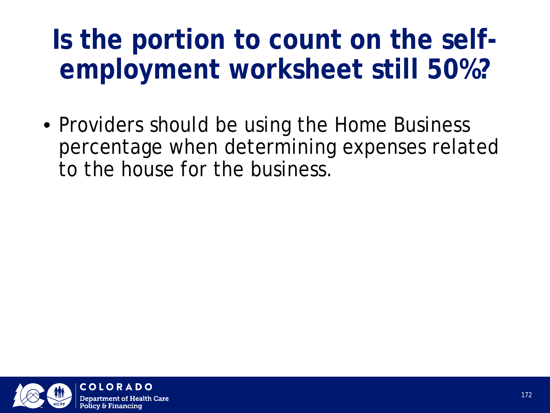### **Is the portion to count on the selfemployment worksheet still 50%?**

• Providers should be using the Home Business percentage when determining expenses related to the house for the business.

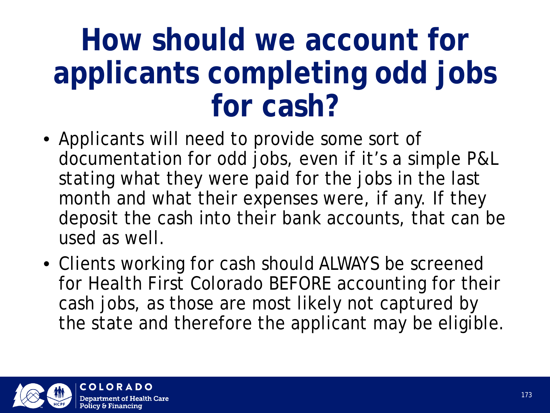### **How should we account for applicants completing odd jobs for cash?**

- Applicants will need to provide some sort of documentation for odd jobs, even if it's a simple P&L stating what they were paid for the jobs in the last month and what their expenses were, if any. If they deposit the cash into their bank accounts, that can be used as well.
- Clients working for cash should ALWAYS be screened for Health First Colorado BEFORE accounting for their cash jobs, as those are most likely not captured by the state and therefore the applicant may be eligible.

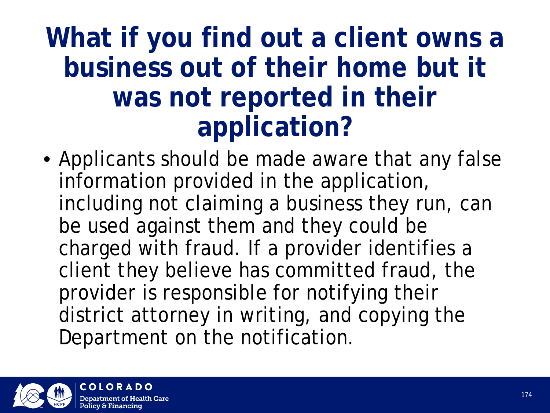### **What if you find out a client owns a business out of their home but it was not reported in their application?**

• Applicants should be made aware that any false information provided in the application, including not claiming a business they run, can be used against them and they could be charged with fraud. If a provider identifies a client they believe has committed fraud, the provider is responsible for notifying their district attorney in writing, and copying the Department on the notification.

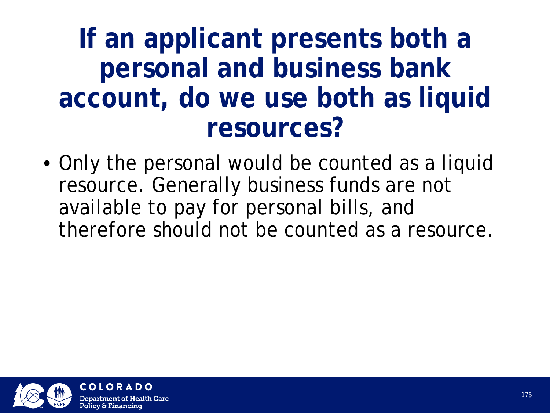**If an applicant presents both a personal and business bank account, do we use both as liquid resources?**

• Only the personal would be counted as a liquid resource. Generally business funds are not available to pay for personal bills, and therefore should not be counted as a resource.

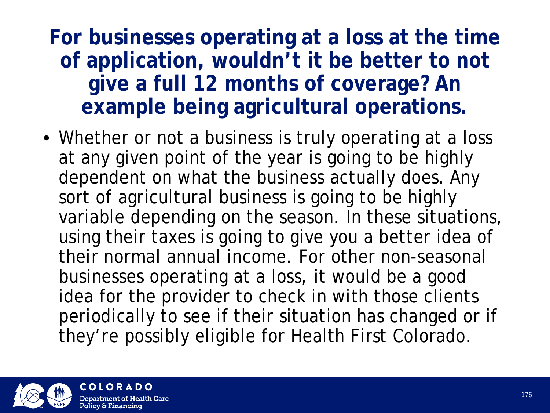#### **For businesses operating at a loss at the time of application, wouldn't it be better to not give a full 12 months of coverage? An example being agricultural operations.**

• Whether or not a business is truly operating at a loss at any given point of the year is going to be highly dependent on what the business actually does. Any sort of agricultural business is going to be highly variable depending on the season. In these situations, using their taxes is going to give you a better idea of their normal annual income. For other non-seasonal businesses operating at a loss, it would be a good idea for the provider to check in with those clients periodically to see if their situation has changed or if they're possibly eligible for Health First Colorado.

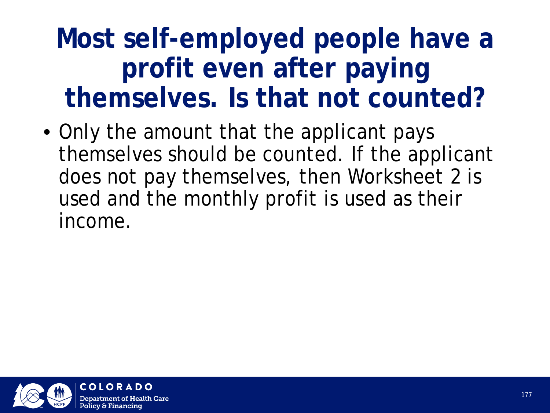### **Most self-employed people have a profit even after paying themselves. Is that not counted?**

• Only the amount that the applicant pays themselves should be counted. If the applicant does not pay themselves, then Worksheet 2 is used and the monthly profit is used as their income.

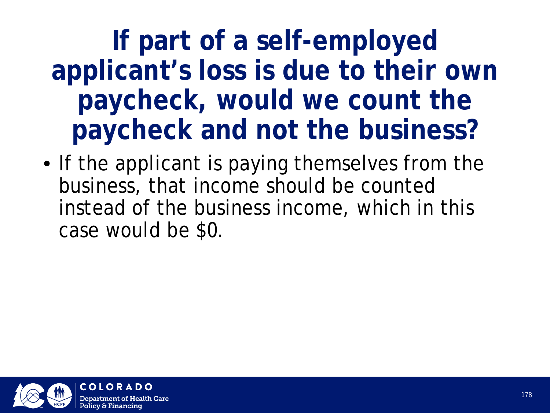**If part of a self-employed applicant's loss is due to their own paycheck, would we count the paycheck and not the business?**

• If the applicant is paying themselves from the business, that income should be counted instead of the business income, which in this case would be \$0.

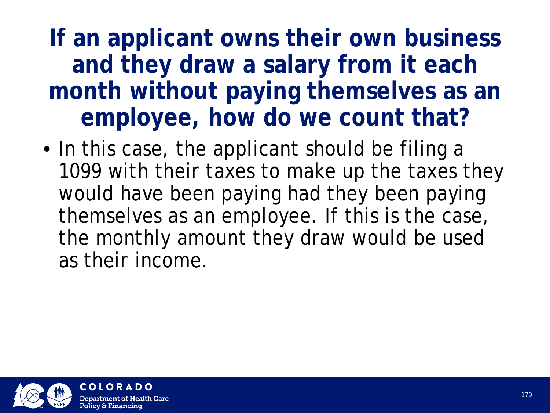#### **If an applicant owns their own business and they draw a salary from it each month without paying themselves as an employee, how do we count that?**

• In this case, the applicant should be filing a 1099 with their taxes to make up the taxes they would have been paying had they been paying themselves as an employee. If this is the case, the monthly amount they draw would be used as their income.

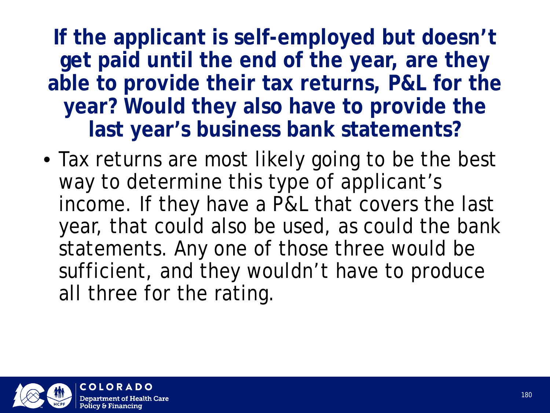**If the applicant is self-employed but doesn't get paid until the end of the year, are they able to provide their tax returns, P&L for the year? Would they also have to provide the last year's business bank statements?**

• Tax returns are most likely going to be the best way to determine this type of applicant's income. If they have a P&L that covers the last year, that could also be used, as could the bank statements. Any one of those three would be sufficient, and they wouldn't have to produce all three for the rating.

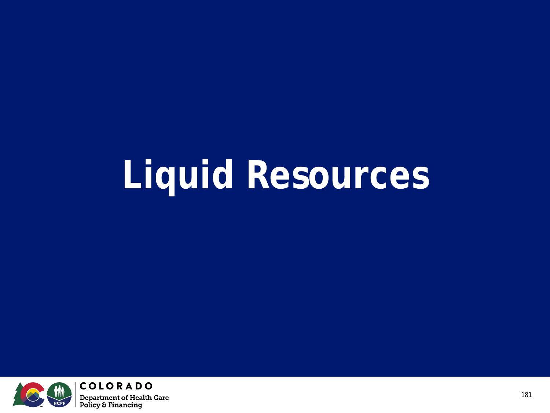# **Liquid Resources**

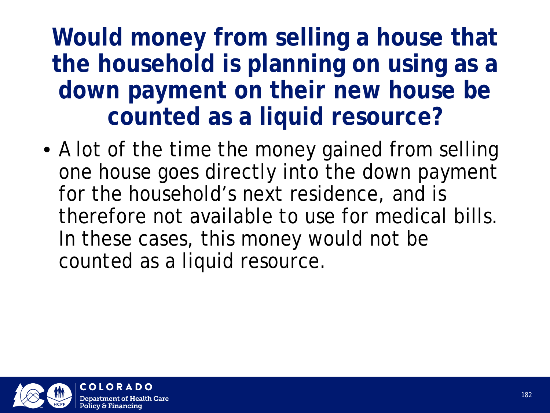#### **Would money from selling a house that the household is planning on using as a down payment on their new house be counted as a liquid resource?**

• A lot of the time the money gained from selling one house goes directly into the down payment for the household's next residence, and is therefore not available to use for medical bills. In these cases, this money would not be counted as a liquid resource.

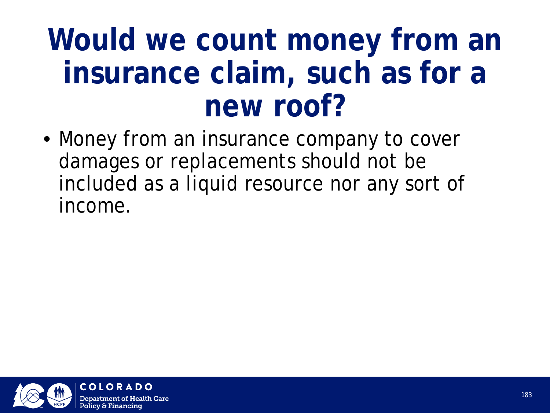### **Would we count money from an insurance claim, such as for a new roof?**

• Money from an insurance company to cover damages or replacements should not be included as a liquid resource nor any sort of income.

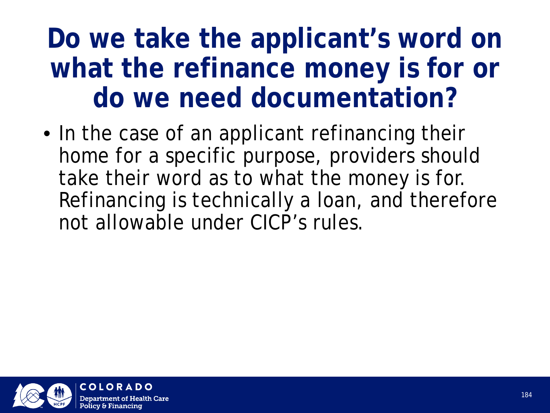#### **Do we take the applicant's word on what the refinance money is for or do we need documentation?**

• In the case of an applicant refinancing their home for a specific purpose, providers should take their word as to what the money is for. Refinancing is technically a loan, and therefore not allowable under CICP's rules.

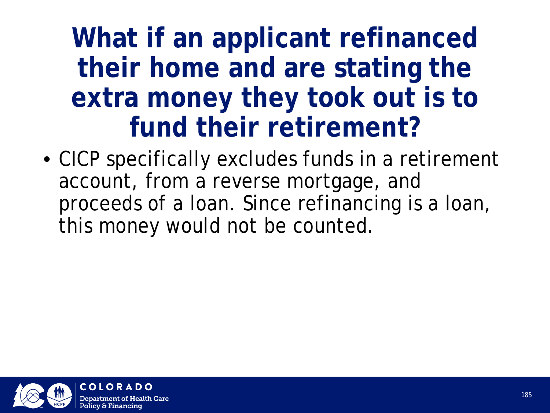#### **What if an applicant refinanced their home and are stating the extra money they took out is to fund their retirement?**

• CICP specifically excludes funds in a retirement account, from a reverse mortgage, and proceeds of a loan. Since refinancing is a loan, this money would not be counted.

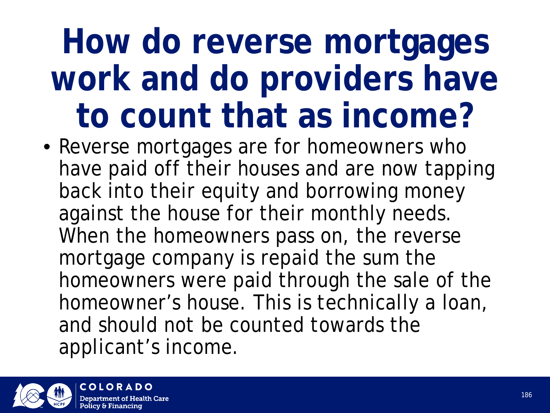## **How do reverse mortgages work and do providers have to count that as income?**

• Reverse mortgages are for homeowners who have paid off their houses and are now tapping back into their equity and borrowing money against the house for their monthly needs. When the homeowners pass on, the reverse mortgage company is repaid the sum the homeowners were paid through the sale of the homeowner's house. This is technically a loan, and should not be counted towards the applicant's income.

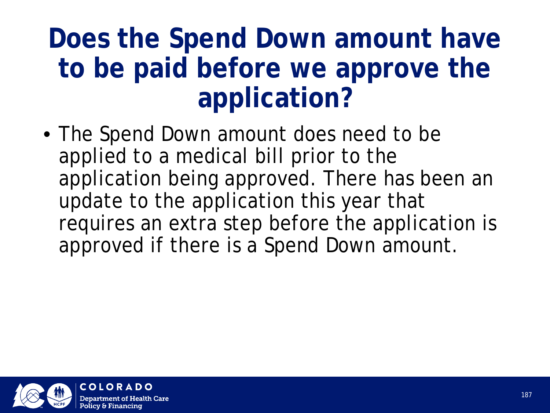### **Does the Spend Down amount have to be paid before we approve the application?**

• The Spend Down amount does need to be applied to a medical bill prior to the application being approved. There has been an update to the application this year that requires an extra step before the application is approved if there is a Spend Down amount.

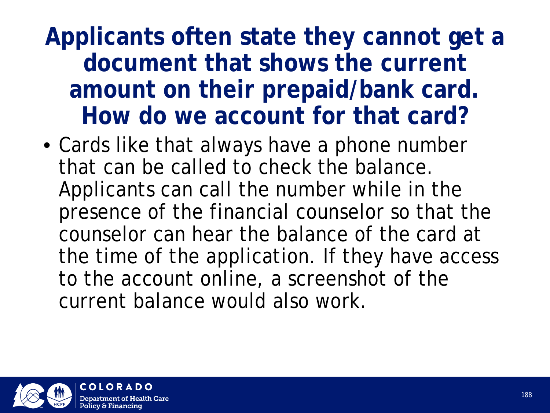#### **Applicants often state they cannot get a document that shows the current amount on their prepaid/bank card. How do we account for that card?**

• Cards like that always have a phone number that can be called to check the balance. Applicants can call the number while in the presence of the financial counselor so that the counselor can hear the balance of the card at the time of the application. If they have access to the account online, a screenshot of the current balance would also work.

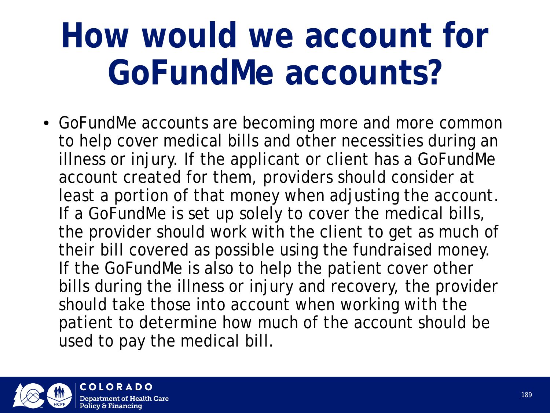## **How would we account for GoFundMe accounts?**

• GoFundMe accounts are becoming more and more common to help cover medical bills and other necessities during an illness or injury. If the applicant or client has a GoFundMe account created for them, providers should consider at least a portion of that money when adjusting the account. If a GoFundMe is set up solely to cover the medical bills, the provider should work with the client to get as much of their bill covered as possible using the fundraised money. If the GoFundMe is also to help the patient cover other bills during the illness or injury and recovery, the provider should take those into account when working with the patient to determine how much of the account should be used to pay the medical bill.

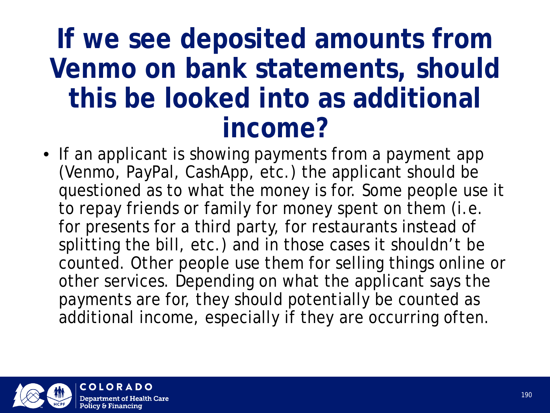#### **If we see deposited amounts from Venmo on bank statements, should this be looked into as additional income?**

• If an applicant is showing payments from a payment app (Venmo, PayPal, CashApp, etc.) the applicant should be questioned as to what the money is for. Some people use it to repay friends or family for money spent on them (i.e. for presents for a third party, for restaurants instead of splitting the bill, etc.) and in those cases it shouldn't be counted. Other people use them for selling things online or other services. Depending on what the applicant says the payments are for, they should potentially be counted as additional income, especially if they are occurring often.

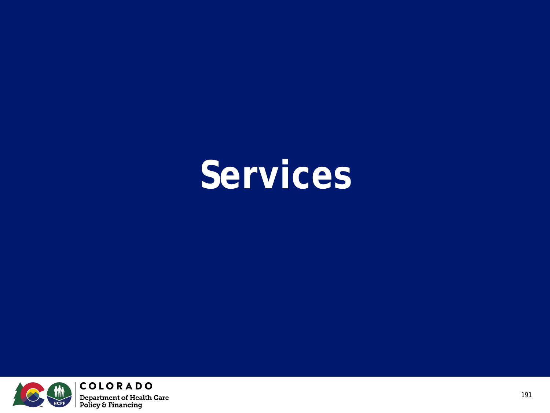### **Services**

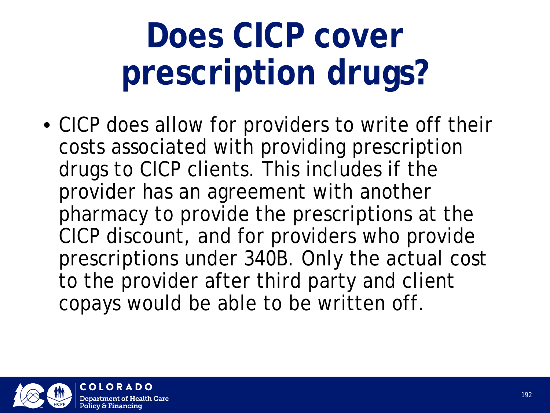# **Does CICP cover prescription drugs?**

• CICP does allow for providers to write off their costs associated with providing prescription drugs to CICP clients. This includes if the provider has an agreement with another pharmacy to provide the prescriptions at the CICP discount, and for providers who provide prescriptions under 340B. Only the actual cost to the provider after third party and client copays would be able to be written off.

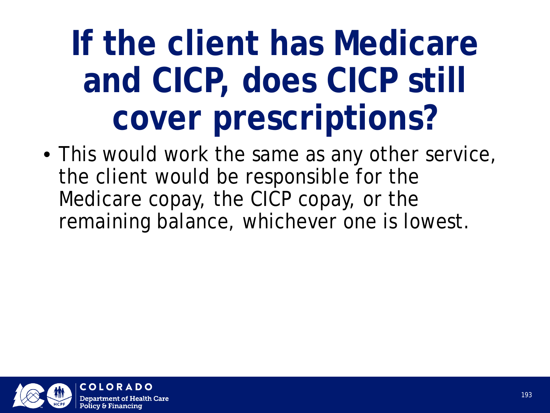## **If the client has Medicare and CICP, does CICP still cover prescriptions?**

• This would work the same as any other service, the client would be responsible for the Medicare copay, the CICP copay, or the remaining balance, whichever one is lowest.

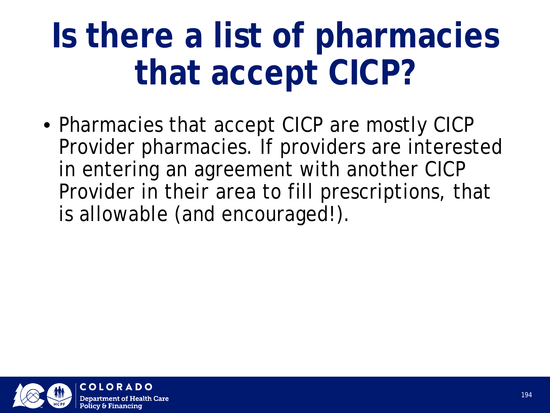## **Is there a list of pharmacies that accept CICP?**

• Pharmacies that accept CICP are mostly CICP Provider pharmacies. If providers are interested in entering an agreement with another CICP Provider in their area to fill prescriptions, that is allowable (and encouraged!).

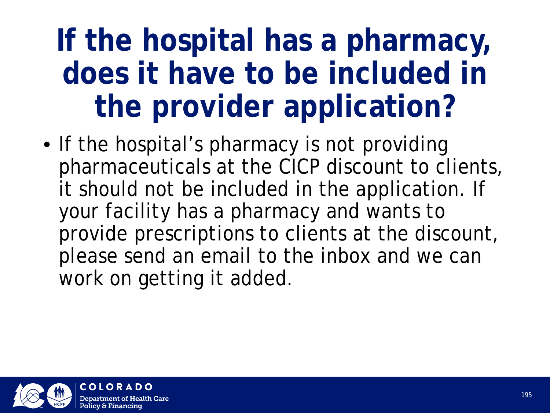### **If the hospital has a pharmacy, does it have to be included in the provider application?**

• If the hospital's pharmacy is not providing pharmaceuticals at the CICP discount to clients, it should not be included in the application. If your facility has a pharmacy and wants to provide prescriptions to clients at the discount, please send an email to the inbox and we can work on getting it added.

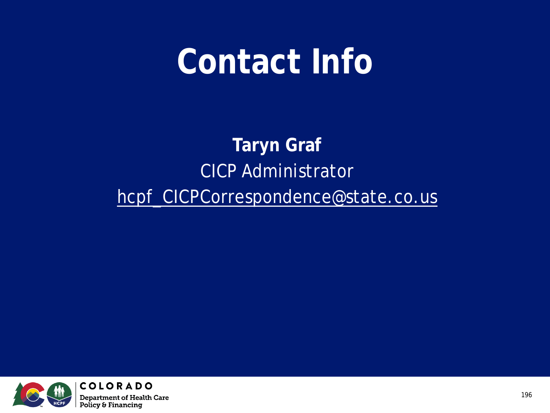### **Contact Info**

#### **Taryn Graf** CICP Administrator hcpf\_CICPCorrespondence@state.co.us